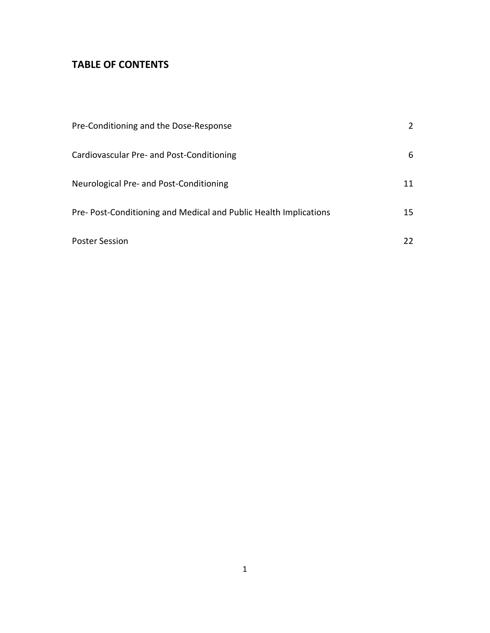# **TABLE OF CONTENTS**

| Pre-Conditioning and the Dose-Response                           | 2  |
|------------------------------------------------------------------|----|
| Cardiovascular Pre- and Post-Conditioning                        | 6  |
| Neurological Pre- and Post-Conditioning                          | 11 |
| Pre-Post-Conditioning and Medical and Public Health Implications | 15 |
| <b>Poster Session</b>                                            |    |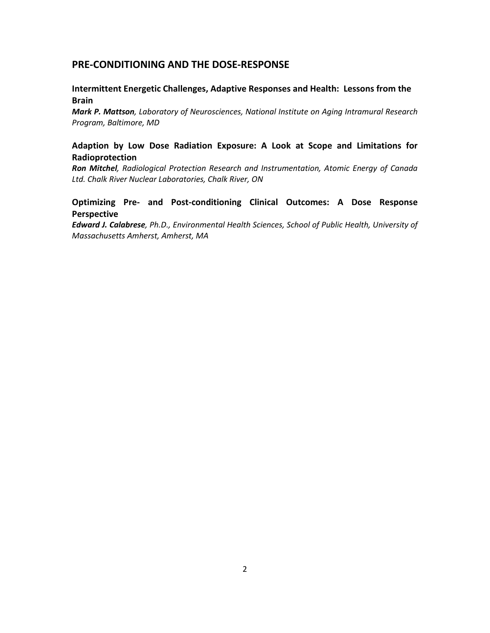# **PRE-CONDITIONING AND THE DOSE-RESPONSE**

## **Intermittent Energetic Challenges, Adaptive Responses and Health: Lessons from the Brain**

*Mark P. Mattson, Laboratory of Neurosciences, National Institute on Aging Intramural Research Program, Baltimore, MD* 

## **Adaption by Low Dose Radiation Exposure: A Look at Scope and Limitations for Radioprotection**

*Ron Mitchel, Radiological Protection Research and Instrumentation, Atomic Energy of Canada Ltd. Chalk River Nuclear Laboratories, Chalk River, ON*

### **Optimizing Pre- and Post-conditioning Clinical Outcomes: A Dose Response Perspective**

*Edward J. Calabrese, Ph.D., Environmental Health Sciences, School of Public Health, University of Massachusetts Amherst, Amherst, MA*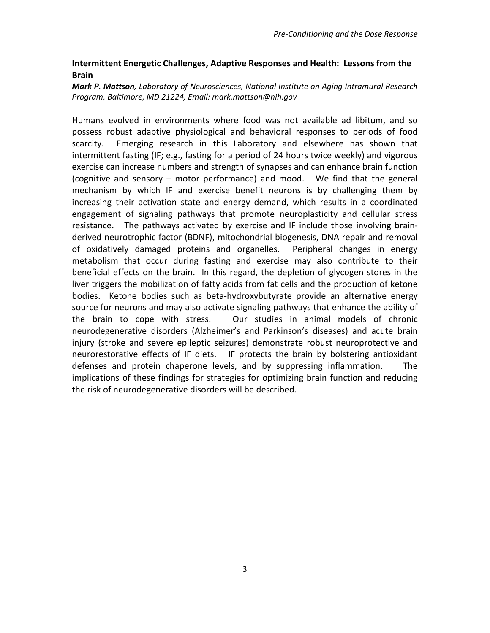## **Intermittent Energetic Challenges, Adaptive Responses and Health: Lessons from the Brain**

### *Mark P. Mattson, Laboratory of Neurosciences, National Institute on Aging Intramural Research Program, Baltimore, MD 21224, Email: mark.mattson@nih.gov*

Humans evolved in environments where food was not available ad libitum, and so possess robust adaptive physiological and behavioral responses to periods of food scarcity. Emerging research in this Laboratory and elsewhere has shown that intermittent fasting (IF; e.g., fasting for a period of 24 hours twice weekly) and vigorous exercise can increase numbers and strength of synapses and can enhance brain function (cognitive and sensory – motor performance) and mood. We find that the general mechanism by which IF and exercise benefit neurons is by challenging them by increasing their activation state and energy demand, which results in a coordinated engagement of signaling pathways that promote neuroplasticity and cellular stress resistance. The pathways activated by exercise and IF include those involving brainderived neurotrophic factor (BDNF), mitochondrial biogenesis, DNA repair and removal of oxidatively damaged proteins and organelles. Peripheral changes in energy metabolism that occur during fasting and exercise may also contribute to their beneficial effects on the brain. In this regard, the depletion of glycogen stores in the liver triggers the mobilization of fatty acids from fat cells and the production of ketone bodies. Ketone bodies such as beta-hydroxybutyrate provide an alternative energy source for neurons and may also activate signaling pathways that enhance the ability of the brain to cope with stress. Our studies in animal models of chronic neurodegenerative disorders (Alzheimer's and Parkinson's diseases) and acute brain injury (stroke and severe epileptic seizures) demonstrate robust neuroprotective and neurorestorative effects of IF diets. IF protects the brain by bolstering antioxidant defenses and protein chaperone levels, and by suppressing inflammation. The implications of these findings for strategies for optimizing brain function and reducing the risk of neurodegenerative disorders will be described.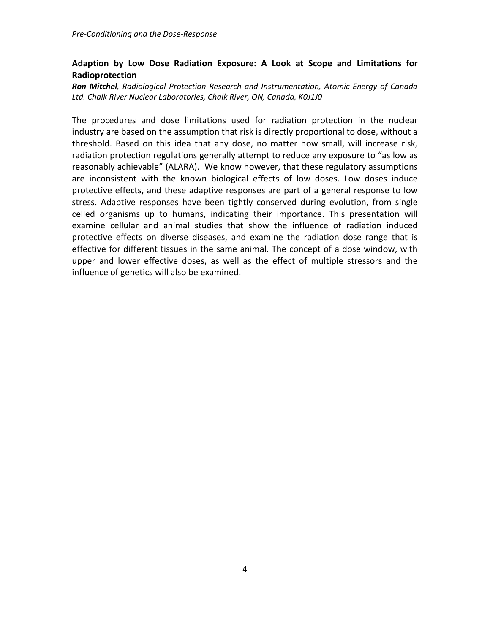# **Adaption by Low Dose Radiation Exposure: A Look at Scope and Limitations for Radioprotection**

*Ron Mitchel, Radiological Protection Research and Instrumentation, Atomic Energy of Canada Ltd. Chalk River Nuclear Laboratories, Chalk River, ON, Canada, K0J1J0*

The procedures and dose limitations used for radiation protection in the nuclear industry are based on the assumption that risk is directly proportional to dose, without a threshold. Based on this idea that any dose, no matter how small, will increase risk, radiation protection regulations generally attempt to reduce any exposure to "as low as reasonably achievable" (ALARA). We know however, that these regulatory assumptions are inconsistent with the known biological effects of low doses. Low doses induce protective effects, and these adaptive responses are part of a general response to low stress. Adaptive responses have been tightly conserved during evolution, from single celled organisms up to humans, indicating their importance. This presentation will examine cellular and animal studies that show the influence of radiation induced protective effects on diverse diseases, and examine the radiation dose range that is effective for different tissues in the same animal. The concept of a dose window, with upper and lower effective doses, as well as the effect of multiple stressors and the influence of genetics will also be examined.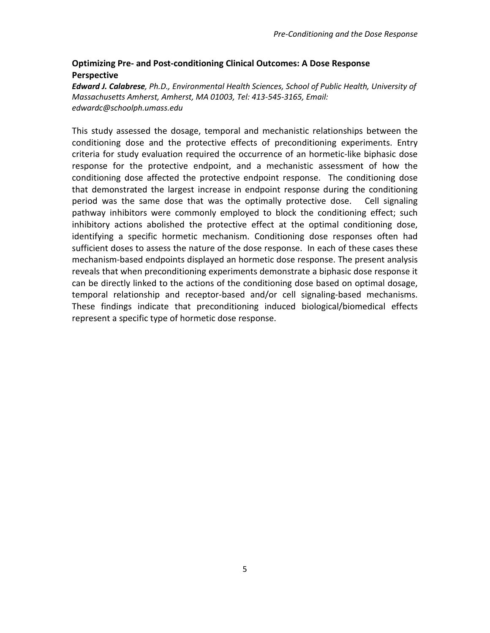# **Optimizing Pre- and Post-conditioning Clinical Outcomes: A Dose Response Perspective**

*Edward J. Calabrese, Ph.D., Environmental Health Sciences, School of Public Health, University of Massachusetts Amherst, Amherst, MA 01003, Tel: 413-545-3165, Email: edwardc@schoolph.umass.edu*

This study assessed the dosage, temporal and mechanistic relationships between the conditioning dose and the protective effects of preconditioning experiments. Entry criteria for study evaluation required the occurrence of an hormetic-like biphasic dose response for the protective endpoint, and a mechanistic assessment of how the conditioning dose affected the protective endpoint response. The conditioning dose that demonstrated the largest increase in endpoint response during the conditioning period was the same dose that was the optimally protective dose. Cell signaling pathway inhibitors were commonly employed to block the conditioning effect; such inhibitory actions abolished the protective effect at the optimal conditioning dose, identifying a specific hormetic mechanism. Conditioning dose responses often had sufficient doses to assess the nature of the dose response. In each of these cases these mechanism-based endpoints displayed an hormetic dose response. The present analysis reveals that when preconditioning experiments demonstrate a biphasic dose response it can be directly linked to the actions of the conditioning dose based on optimal dosage, temporal relationship and receptor-based and/or cell signaling-based mechanisms. These findings indicate that preconditioning induced biological/biomedical effects represent a specific type of hormetic dose response.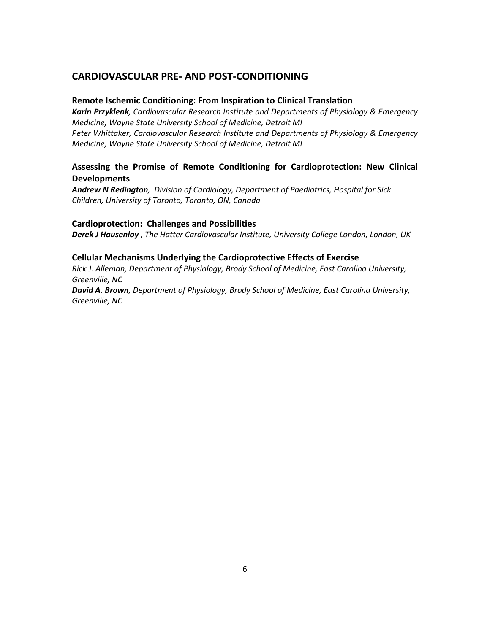# **CARDIOVASCULAR PRE- AND POST-CONDITIONING**

#### **Remote Ischemic Conditioning: From Inspiration to Clinical Translation**

*Karin Przyklenk, Cardiovascular Research Institute and Departments of Physiology & Emergency Medicine, Wayne State University School of Medicine, Detroit MI Peter Whittaker, Cardiovascular Research Institute and Departments of Physiology & Emergency Medicine, Wayne State University School of Medicine, Detroit MI* 

## **Assessing the Promise of Remote Conditioning for Cardioprotection: New Clinical Developments**

*Andrew N Redington, Division of Cardiology, Department of Paediatrics, Hospital for Sick Children, University of Toronto, Toronto, ON, Canada*

#### **Cardioprotection: Challenges and Possibilities**

*Derek J Hausenloy , The Hatter Cardiovascular Institute, University College London, London, UK*

#### **Cellular Mechanisms Underlying the Cardioprotective Effects of Exercise**

*Rick J. Alleman, Department of Physiology, Brody School of Medicine, East Carolina University, Greenville, NC*

*David A. Brown, Department of Physiology, Brody School of Medicine, East Carolina University, Greenville, NC*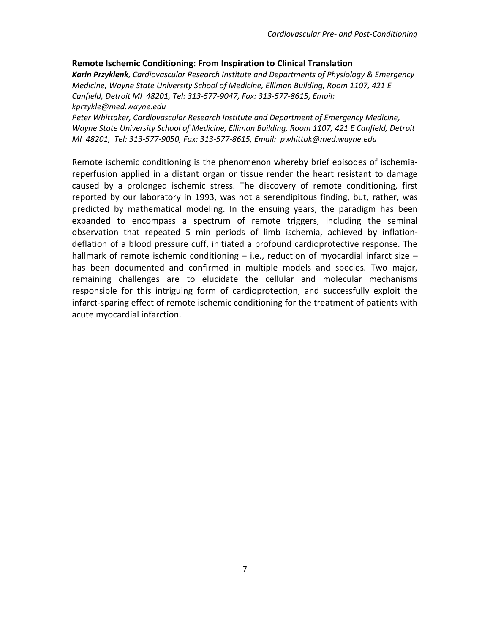### **Remote Ischemic Conditioning: From Inspiration to Clinical Translation**

*Karin Przyklenk, Cardiovascular Research Institute and Departments of Physiology & Emergency Medicine, Wayne State University School of Medicine, Elliman Building, Room 1107, 421 E Canfield, Detroit MI 48201, Tel: 313-577-9047, Fax: 313-577-8615, Email: kprzykle@med.wayne.edu*

*Peter Whittaker, Cardiovascular Research Institute and Department of Emergency Medicine, Wayne State University School of Medicine, Elliman Building, Room 1107, 421 E Canfield, Detroit MI 48201, Tel: 313-577-9050, Fax: 313-577-8615, Email: pwhittak@med.wayne.edu*

Remote ischemic conditioning is the phenomenon whereby brief episodes of ischemiareperfusion applied in a distant organ or tissue render the heart resistant to damage caused by a prolonged ischemic stress. The discovery of remote conditioning, first reported by our laboratory in 1993, was not a serendipitous finding, but, rather, was predicted by mathematical modeling. In the ensuing years, the paradigm has been expanded to encompass a spectrum of remote triggers, including the seminal observation that repeated 5 min periods of limb ischemia, achieved by inflationdeflation of a blood pressure cuff, initiated a profound cardioprotective response. The hallmark of remote ischemic conditioning  $-$  i.e., reduction of myocardial infarct size  $$ has been documented and confirmed in multiple models and species. Two major, remaining challenges are to elucidate the cellular and molecular mechanisms responsible for this intriguing form of cardioprotection, and successfully exploit the infarct-sparing effect of remote ischemic conditioning for the treatment of patients with acute myocardial infarction.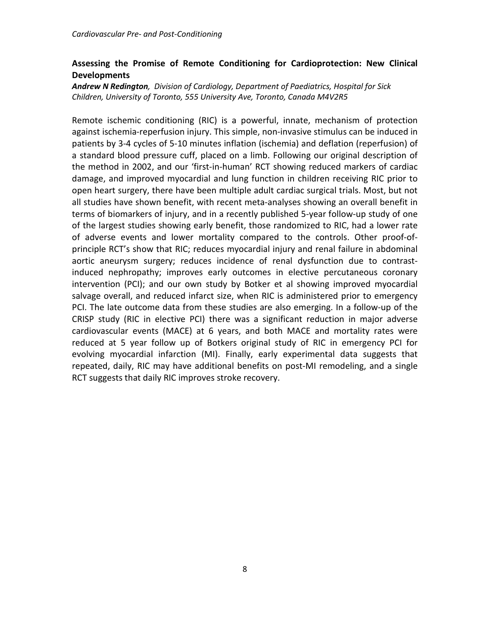## **Assessing the Promise of Remote Conditioning for Cardioprotection: New Clinical Developments**

*Andrew N Redington, Division of Cardiology, Department of Paediatrics, Hospital for Sick Children, University of Toronto, 555 University Ave, Toronto, Canada M4V2R5*

Remote ischemic conditioning (RIC) is a powerful, innate, mechanism of protection against ischemia-reperfusion injury. This simple, non-invasive stimulus can be induced in patients by 3-4 cycles of 5-10 minutes inflation (ischemia) and deflation (reperfusion) of a standard blood pressure cuff, placed on a limb. Following our original description of the method in 2002, and our 'first-in-human' RCT showing reduced markers of cardiac damage, and improved myocardial and lung function in children receiving RIC prior to open heart surgery, there have been multiple adult cardiac surgical trials. Most, but not all studies have shown benefit, with recent meta-analyses showing an overall benefit in terms of biomarkers of injury, and in a recently published 5-year follow-up study of one of the largest studies showing early benefit, those randomized to RIC, had a lower rate of adverse events and lower mortality compared to the controls. Other proof-ofprinciple RCT's show that RIC; reduces myocardial injury and renal failure in abdominal aortic aneurysm surgery; reduces incidence of renal dysfunction due to contrastinduced nephropathy; improves early outcomes in elective percutaneous coronary intervention (PCI); and our own study by Botker et al showing improved myocardial salvage overall, and reduced infarct size, when RIC is administered prior to emergency PCI. The late outcome data from these studies are also emerging. In a follow-up of the CRISP study (RIC in elective PCI) there was a significant reduction in major adverse cardiovascular events (MACE) at 6 years, and both MACE and mortality rates were reduced at 5 year follow up of Botkers original study of RIC in emergency PCI for evolving myocardial infarction (MI). Finally, early experimental data suggests that repeated, daily, RIC may have additional benefits on post-MI remodeling, and a single RCT suggests that daily RIC improves stroke recovery.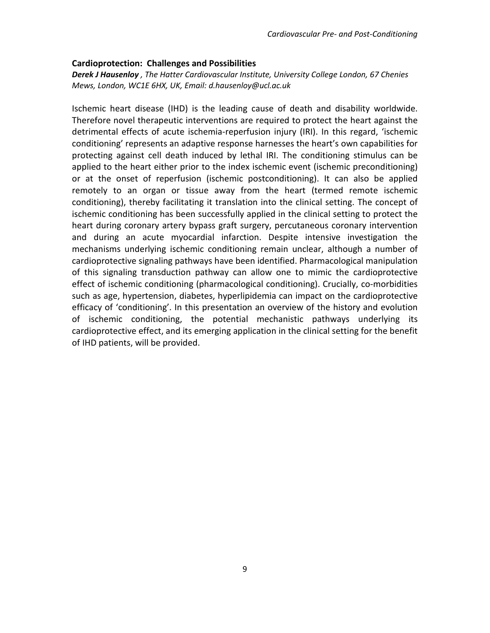#### **Cardioprotection: Challenges and Possibilities**

*Derek J Hausenloy , The Hatter Cardiovascular Institute, University College London, 67 Chenies Mews, London, WC1E 6HX, UK, Email: d.hausenloy@ucl.ac.uk*

Ischemic heart disease (IHD) is the leading cause of death and disability worldwide. Therefore novel therapeutic interventions are required to protect the heart against the detrimental effects of acute ischemia-reperfusion injury (IRI). In this regard, 'ischemic conditioning' represents an adaptive response harnesses the heart's own capabilities for protecting against cell death induced by lethal IRI. The conditioning stimulus can be applied to the heart either prior to the index ischemic event (ischemic preconditioning) or at the onset of reperfusion (ischemic postconditioning). It can also be applied remotely to an organ or tissue away from the heart (termed remote ischemic conditioning), thereby facilitating it translation into the clinical setting. The concept of ischemic conditioning has been successfully applied in the clinical setting to protect the heart during coronary artery bypass graft surgery, percutaneous coronary intervention and during an acute myocardial infarction. Despite intensive investigation the mechanisms underlying ischemic conditioning remain unclear, although a number of cardioprotective signaling pathways have been identified. Pharmacological manipulation of this signaling transduction pathway can allow one to mimic the cardioprotective effect of ischemic conditioning (pharmacological conditioning). Crucially, co-morbidities such as age, hypertension, diabetes, hyperlipidemia can impact on the cardioprotective efficacy of 'conditioning'. In this presentation an overview of the history and evolution of ischemic conditioning, the potential mechanistic pathways underlying its cardioprotective effect, and its emerging application in the clinical setting for the benefit of IHD patients, will be provided.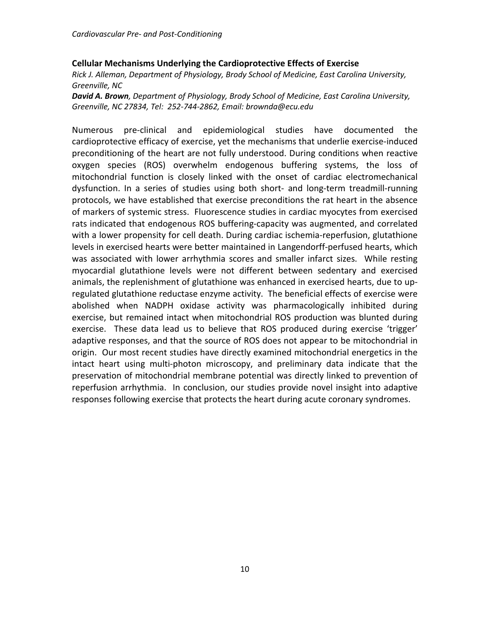#### **Cellular Mechanisms Underlying the Cardioprotective Effects of Exercise**

*Rick J. Alleman, Department of Physiology, Brody School of Medicine, East Carolina University, Greenville, NC*

*David A. Brown, Department of Physiology, Brody School of Medicine, East Carolina University, Greenville, NC 27834, Tel: 252-744-2862, Email: brownda@ecu.edu*

Numerous pre-clinical and epidemiological studies have documented the cardioprotective efficacy of exercise, yet the mechanisms that underlie exercise-induced preconditioning of the heart are not fully understood. During conditions when reactive oxygen species (ROS) overwhelm endogenous buffering systems, the loss of mitochondrial function is closely linked with the onset of cardiac electromechanical dysfunction. In a series of studies using both short- and long-term treadmill-running protocols, we have established that exercise preconditions the rat heart in the absence of markers of systemic stress. Fluorescence studies in cardiac myocytes from exercised rats indicated that endogenous ROS buffering-capacity was augmented, and correlated with a lower propensity for cell death. During cardiac ischemia-reperfusion, glutathione levels in exercised hearts were better maintained in Langendorff-perfused hearts, which was associated with lower arrhythmia scores and smaller infarct sizes. While resting myocardial glutathione levels were not different between sedentary and exercised animals, the replenishment of glutathione was enhanced in exercised hearts, due to upregulated glutathione reductase enzyme activity. The beneficial effects of exercise were abolished when NADPH oxidase activity was pharmacologically inhibited during exercise, but remained intact when mitochondrial ROS production was blunted during exercise. These data lead us to believe that ROS produced during exercise 'trigger' adaptive responses, and that the source of ROS does not appear to be mitochondrial in origin. Our most recent studies have directly examined mitochondrial energetics in the intact heart using multi-photon microscopy, and preliminary data indicate that the preservation of mitochondrial membrane potential was directly linked to prevention of reperfusion arrhythmia. In conclusion, our studies provide novel insight into adaptive responses following exercise that protects the heart during acute coronary syndromes.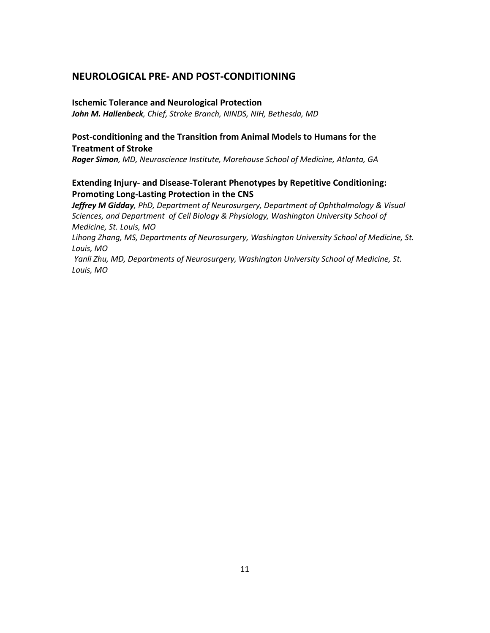# **NEUROLOGICAL PRE- AND POST-CONDITIONING**

#### **Ischemic Tolerance and Neurological Protection**

*John M. Hallenbeck, Chief, Stroke Branch, NINDS, NIH, Bethesda, MD* 

## **Post-conditioning and the Transition from Animal Models to Humans for the Treatment of Stroke**

*Roger Simon, MD, Neuroscience Institute, Morehouse School of Medicine, Atlanta, GA* 

## **Extending Injury- and Disease-Tolerant Phenotypes by Repetitive Conditioning: Promoting Long-Lasting Protection in the CNS**

*Jeffrey M Gidday, PhD, Department of Neurosurgery, Department of Ophthalmology & Visual Sciences, and Department of Cell Biology & Physiology, Washington University School of Medicine, St. Louis, MO*

*Lihong Zhang, MS, Departments of Neurosurgery, Washington University School of Medicine, St. Louis, MO* 

*Yanli Zhu, MD, Departments of Neurosurgery, Washington University School of Medicine, St. Louis, MO*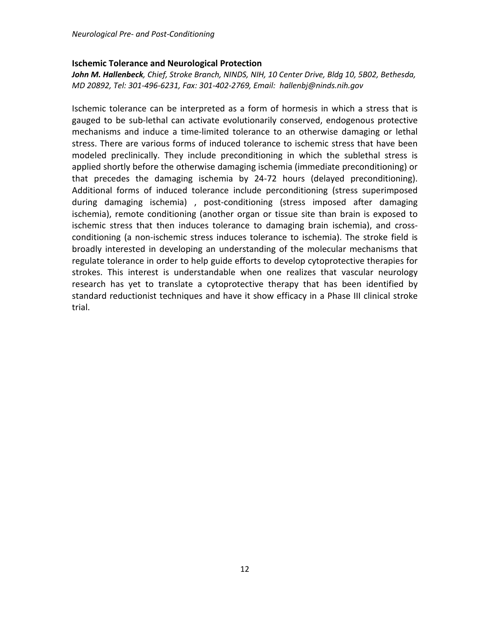### **Ischemic Tolerance and Neurological Protection**

*John M. Hallenbeck, Chief, Stroke Branch, NINDS, NIH, 10 Center Drive, Bldg 10, 5B02, Bethesda, MD 20892, Tel: 301-496-6231, Fax: 301-402-2769, Email: hallenbj@ninds.nih.gov*

Ischemic tolerance can be interpreted as a form of hormesis in which a stress that is gauged to be sub-lethal can activate evolutionarily conserved, endogenous protective mechanisms and induce a time-limited tolerance to an otherwise damaging or lethal stress. There are various forms of induced tolerance to ischemic stress that have been modeled preclinically. They include preconditioning in which the sublethal stress is applied shortly before the otherwise damaging ischemia (immediate preconditioning) or that precedes the damaging ischemia by 24-72 hours (delayed preconditioning). Additional forms of induced tolerance include perconditioning (stress superimposed during damaging ischemia) , post-conditioning (stress imposed after damaging ischemia), remote conditioning (another organ or tissue site than brain is exposed to ischemic stress that then induces tolerance to damaging brain ischemia), and crossconditioning (a non-ischemic stress induces tolerance to ischemia). The stroke field is broadly interested in developing an understanding of the molecular mechanisms that regulate tolerance in order to help guide efforts to develop cytoprotective therapies for strokes. This interest is understandable when one realizes that vascular neurology research has yet to translate a cytoprotective therapy that has been identified by standard reductionist techniques and have it show efficacy in a Phase III clinical stroke trial.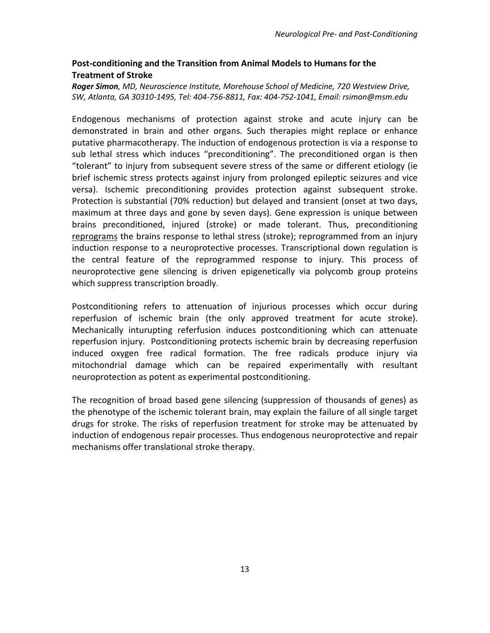# **Post-conditioning and the Transition from Animal Models to Humans for the Treatment of Stroke**

*Roger Simon, MD, Neuroscience Institute, Morehouse School of Medicine, 720 Westview Drive, SW, Atlanta, GA 30310-1495, Tel: 404-756-8811, Fax: 404-752-1041, Email: rsimon@msm.edu*

Endogenous mechanisms of protection against stroke and acute injury can be demonstrated in brain and other organs. Such therapies might replace or enhance putative pharmacotherapy. The induction of endogenous protection is via a response to sub lethal stress which induces "preconditioning". The preconditioned organ is then "tolerant" to injury from subsequent severe stress of the same or different etiology (ie brief ischemic stress protects against injury from prolonged epileptic seizures and vice versa). Ischemic preconditioning provides protection against subsequent stroke. Protection is substantial (70% reduction) but delayed and transient (onset at two days, maximum at three days and gone by seven days). Gene expression is unique between brains preconditioned, injured (stroke) or made tolerant. Thus, preconditioning reprograms the brains response to lethal stress (stroke); reprogrammed from an injury induction response to a neuroprotective processes. Transcriptional down regulation is the central feature of the reprogrammed response to injury. This process of neuroprotective gene silencing is driven epigenetically via polycomb group proteins which suppress transcription broadly.

Postconditioning refers to attenuation of injurious processes which occur during reperfusion of ischemic brain (the only approved treatment for acute stroke). Mechanically inturupting referfusion induces postconditioning which can attenuate reperfusion injury. Postconditioning protects ischemic brain by decreasing reperfusion induced oxygen free radical formation. The free radicals produce injury via mitochondrial damage which can be repaired experimentally with resultant neuroprotection as potent as experimental postconditioning.

The recognition of broad based gene silencing (suppression of thousands of genes) as the phenotype of the ischemic tolerant brain, may explain the failure of all single target drugs for stroke. The risks of reperfusion treatment for stroke may be attenuated by induction of endogenous repair processes. Thus endogenous neuroprotective and repair mechanisms offer translational stroke therapy.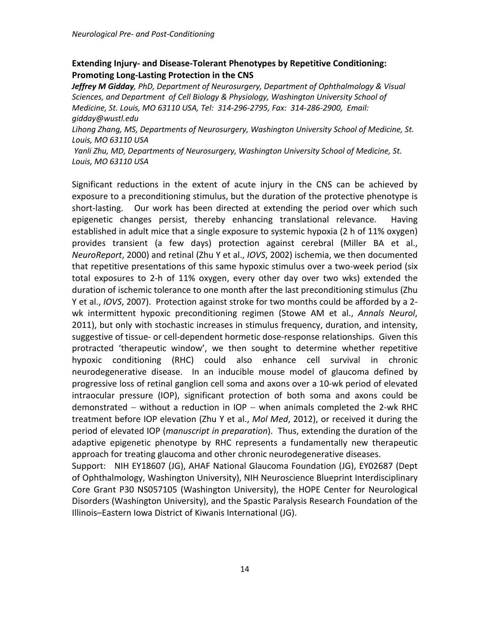## **Extending Injury- and Disease-Tolerant Phenotypes by Repetitive Conditioning: Promoting Long-Lasting Protection in the CNS**

*Jeffrey M Gidday, PhD, Department of Neurosurgery, Department of Ophthalmology & Visual Sciences, and Department of Cell Biology & Physiology, Washington University School of Medicine, St. Louis, MO 63110 USA, Tel: 314-296-2795, Fax: 314-286-2900, Email: gidday@wustl.edu* 

*Lihong Zhang, MS, Departments of Neurosurgery, Washington University School of Medicine, St. Louis, MO 63110 USA*

*Yanli Zhu, MD, Departments of Neurosurgery, Washington University School of Medicine, St. Louis, MO 63110 USA*

Significant reductions in the extent of acute injury in the CNS can be achieved by exposure to a preconditioning stimulus, but the duration of the protective phenotype is short-lasting. Our work has been directed at extending the period over which such epigenetic changes persist, thereby enhancing translational relevance. Having established in adult mice that a single exposure to systemic hypoxia (2 h of 11% oxygen) provides transient (a few days) protection against cerebral (Miller BA et al., *NeuroReport*, 2000) and retinal (Zhu Y et al., *IOVS*, 2002) ischemia, we then documented that repetitive presentations of this same hypoxic stimulus over a two-week period (six total exposures to 2-h of 11% oxygen, every other day over two wks) extended the duration of ischemic tolerance to one month after the last preconditioning stimulus (Zhu Y et al., *IOVS*, 2007). Protection against stroke for two months could be afforded by a 2 wk intermittent hypoxic preconditioning regimen (Stowe AM et al., *Annals Neurol*, 2011), but only with stochastic increases in stimulus frequency, duration, and intensity, suggestive of tissue- or cell-dependent hormetic dose-response relationships. Given this protracted 'therapeutic window', we then sought to determine whether repetitive hypoxic conditioning (RHC) could also enhance cell survival in chronic neurodegenerative disease. In an inducible mouse model of glaucoma defined by progressive loss of retinal ganglion cell soma and axons over a 10-wk period of elevated intraocular pressure (IOP), significant protection of both soma and axons could be demonstrated – without a reduction in IOP – when animals completed the 2-wk RHC treatment before IOP elevation (Zhu Y et al., *Mol Med*, 2012), or received it during the period of elevated IOP (*manuscript in preparation*). Thus, extending the duration of the adaptive epigenetic phenotype by RHC represents a fundamentally new therapeutic approach for treating glaucoma and other chronic neurodegenerative diseases.

Support: NIH EY18607 (JG), AHAF National Glaucoma Foundation (JG), EY02687 (Dept of Ophthalmology, Washington University), NIH Neuroscience Blueprint Interdisciplinary Core Grant P30 NS057105 (Washington University), the HOPE Center for Neurological Disorders (Washington University), and the Spastic Paralysis Research Foundation of the Illinois–Eastern Iowa District of Kiwanis International (JG).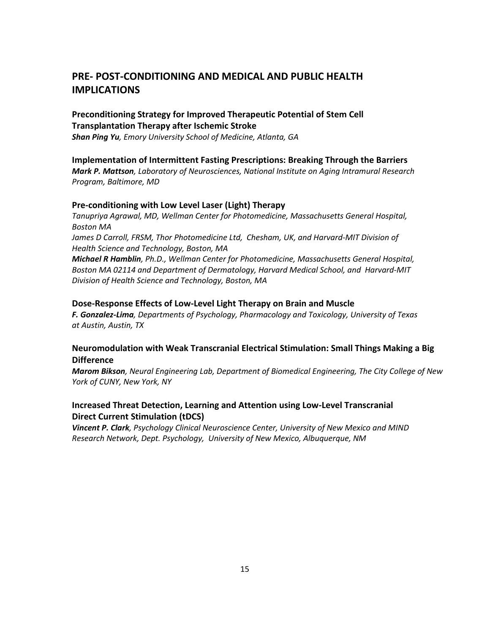# **PRE- POST-CONDITIONING AND MEDICAL AND PUBLIC HEALTH IMPLICATIONS**

## **Preconditioning Strategy for Improved Therapeutic Potential of Stem Cell Transplantation Therapy after Ischemic Stroke**

*Shan Ping Yu, Emory University School of Medicine, Atlanta, GA* 

#### **Implementation of Intermittent Fasting Prescriptions: Breaking Through the Barriers**

*Mark P. Mattson, Laboratory of Neurosciences, National Institute on Aging Intramural Research Program, Baltimore, MD* 

#### **Pre-conditioning with Low Level Laser (Light) Therapy**

*Tanupriya Agrawal, MD, Wellman Center for Photomedicine, Massachusetts General Hospital, Boston MA*  James D Carroll, FRSM, Thor Photomedicine Ltd, Chesham, UK, and Harvard-MIT Division of *Health Science and Technology, Boston, MA*

*Michael R Hamblin, Ph.D., Wellman Center for Photomedicine, Massachusetts General Hospital, Boston MA 02114 and Department of Dermatology, Harvard Medical School, and Harvard-MIT Division of Health Science and Technology, Boston, MA*

#### **Dose-Response Effects of Low-Level Light Therapy on Brain and Muscle**

*F. Gonzalez-Lima, Departments of Psychology, Pharmacology and Toxicology, University of Texas at Austin, Austin, TX* 

### **Neuromodulation with Weak Transcranial Electrical Stimulation: Small Things Making a Big Difference**

*Marom Bikson, Neural Engineering Lab, Department of Biomedical Engineering, The City College of New York of CUNY, New York, NY*

### **Increased Threat Detection, Learning and Attention using Low-Level Transcranial Direct Current Stimulation (tDCS)**

*Vincent P. Clark, Psychology Clinical Neuroscience Center, University of New Mexico and MIND Research Network, Dept. Psychology, University of New Mexico, Albuquerque, NM*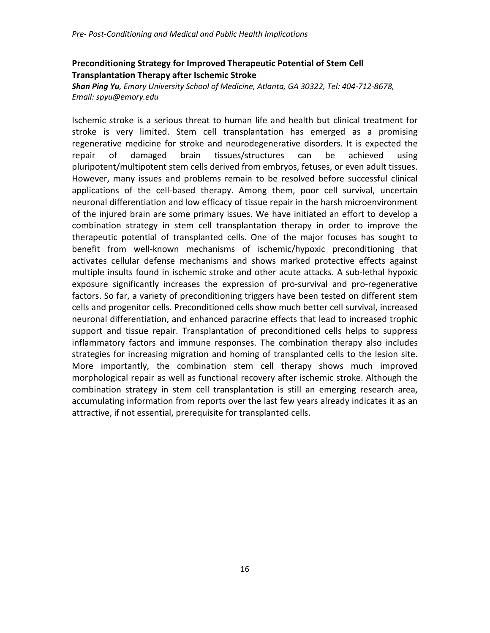# **Preconditioning Strategy for Improved Therapeutic Potential of Stem Cell Transplantation Therapy after Ischemic Stroke**

*Shan Ping Yu, Emory University School of Medicine, Atlanta, GA 30322, Tel: 404-712-8678, Email: spyu@emory.edu*

Ischemic stroke is a serious threat to human life and health but clinical treatment for stroke is very limited. Stem cell transplantation has emerged as a promising regenerative medicine for stroke and neurodegenerative disorders. It is expected the repair of damaged brain tissues/structures can be achieved using pluripotent/multipotent stem cells derived from embryos, fetuses, or even adult tissues. However, many issues and problems remain to be resolved before successful clinical applications of the cell-based therapy. Among them, poor cell survival, uncertain neuronal differentiation and low efficacy of tissue repair in the harsh microenvironment of the injured brain are some primary issues. We have initiated an effort to develop a combination strategy in stem cell transplantation therapy in order to improve the therapeutic potential of transplanted cells. One of the major focuses has sought to benefit from well-known mechanisms of ischemic/hypoxic preconditioning that activates cellular defense mechanisms and shows marked protective effects against multiple insults found in ischemic stroke and other acute attacks. A sub-lethal hypoxic exposure significantly increases the expression of pro-survival and pro-regenerative factors. So far, a variety of preconditioning triggers have been tested on different stem cells and progenitor cells. Preconditioned cells show much better cell survival, increased neuronal differentiation, and enhanced paracrine effects that lead to increased trophic support and tissue repair. Transplantation of preconditioned cells helps to suppress inflammatory factors and immune responses. The combination therapy also includes strategies for increasing migration and homing of transplanted cells to the lesion site. More importantly, the combination stem cell therapy shows much improved morphological repair as well as functional recovery after ischemic stroke. Although the combination strategy in stem cell transplantation is still an emerging research area, accumulating information from reports over the last few years already indicates it as an attractive, if not essential, prerequisite for transplanted cells.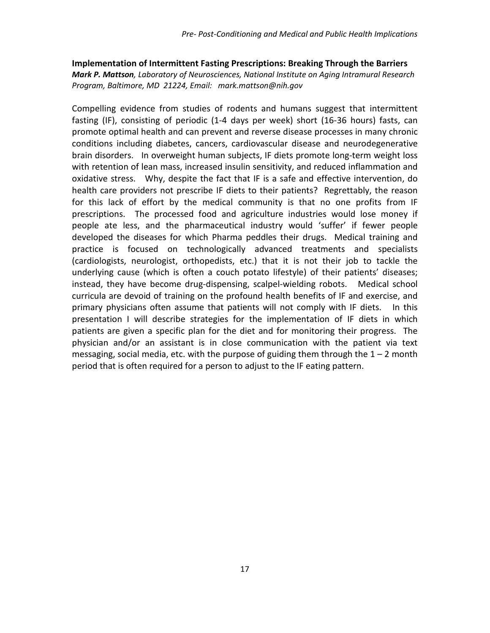### **Implementation of Intermittent Fasting Prescriptions: Breaking Through the Barriers** *Mark P. Mattson, Laboratory of Neurosciences, National Institute on Aging Intramural Research Program, Baltimore, MD 21224, Email: mark.mattson@nih.gov*

Compelling evidence from studies of rodents and humans suggest that intermittent fasting (IF), consisting of periodic (1-4 days per week) short (16-36 hours) fasts, can promote optimal health and can prevent and reverse disease processes in many chronic conditions including diabetes, cancers, cardiovascular disease and neurodegenerative brain disorders. In overweight human subjects, IF diets promote long-term weight loss with retention of lean mass, increased insulin sensitivity, and reduced inflammation and oxidative stress. Why, despite the fact that IF is a safe and effective intervention, do health care providers not prescribe IF diets to their patients? Regrettably, the reason for this lack of effort by the medical community is that no one profits from IF prescriptions. The processed food and agriculture industries would lose money if people ate less, and the pharmaceutical industry would 'suffer' if fewer people developed the diseases for which Pharma peddles their drugs. Medical training and practice is focused on technologically advanced treatments and specialists (cardiologists, neurologist, orthopedists, etc.) that it is not their job to tackle the underlying cause (which is often a couch potato lifestyle) of their patients' diseases; instead, they have become drug-dispensing, scalpel-wielding robots. Medical school curricula are devoid of training on the profound health benefits of IF and exercise, and primary physicians often assume that patients will not comply with IF diets. In this presentation I will describe strategies for the implementation of IF diets in which patients are given a specific plan for the diet and for monitoring their progress. The physician and/or an assistant is in close communication with the patient via text messaging, social media, etc. with the purpose of guiding them through the  $1 - 2$  month period that is often required for a person to adjust to the IF eating pattern.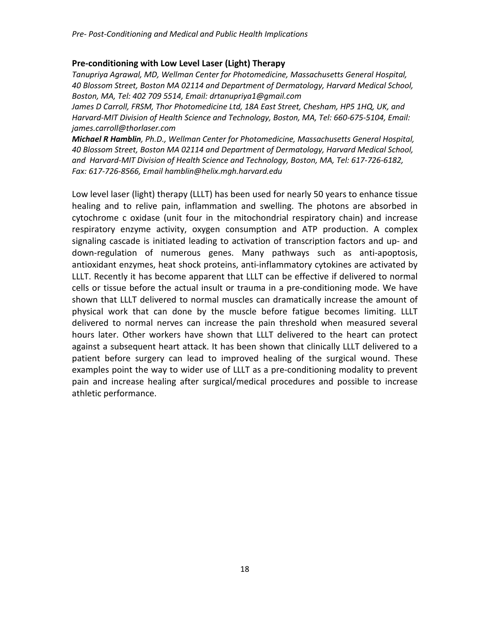#### **Pre-conditioning with Low Level Laser (Light) Therapy**

*Tanupriya Agrawal, MD, Wellman Center for Photomedicine, Massachusetts General Hospital, 40 Blossom Street, Boston MA 02114 and Department of Dermatology, Harvard Medical School, Boston, MA, Tel: 402 709 5514, Email: drtanupriya1@gmail.com*

James D Carroll, FRSM, Thor Photomedicine Ltd, 18A East Street, Chesham, HP5 1HQ, UK, and *Harvard-MIT Division of Health Science and Technology, Boston, MA, Tel: 660-675-5104, Email: james.carroll@thorlaser.com*

*Michael R Hamblin, Ph.D., Wellman Center for Photomedicine, Massachusetts General Hospital, 40 Blossom Street, Boston MA 02114 and Department of Dermatology, Harvard Medical School, and Harvard-MIT Division of Health Science and Technology, Boston, MA, Tel: 617-726-6182, Fax: 617-726-8566, Email hamblin@helix.mgh.harvard.edu*

Low level laser (light) therapy (LLLT) has been used for nearly 50 years to enhance tissue healing and to relive pain, inflammation and swelling. The photons are absorbed in cytochrome c oxidase (unit four in the mitochondrial respiratory chain) and increase respiratory enzyme activity, oxygen consumption and ATP production. A complex signaling cascade is initiated leading to activation of transcription factors and up- and down-regulation of numerous genes. Many pathways such as anti-apoptosis, antioxidant enzymes, heat shock proteins, anti-inflammatory cytokines are activated by LLLT. Recently it has become apparent that LLLT can be effective if delivered to normal cells or tissue before the actual insult or trauma in a pre-conditioning mode. We have shown that LLLT delivered to normal muscles can dramatically increase the amount of physical work that can done by the muscle before fatigue becomes limiting. LLLT delivered to normal nerves can increase the pain threshold when measured several hours later. Other workers have shown that LLLT delivered to the heart can protect against a subsequent heart attack. It has been shown that clinically LLLT delivered to a patient before surgery can lead to improved healing of the surgical wound. These examples point the way to wider use of LLLT as a pre-conditioning modality to prevent pain and increase healing after surgical/medical procedures and possible to increase athletic performance.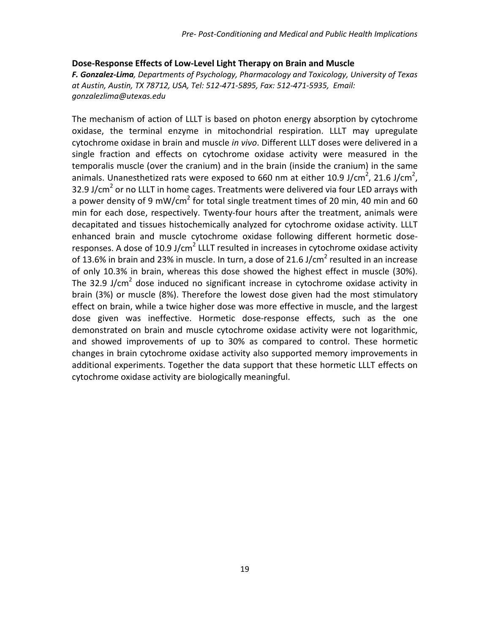#### **Dose-Response Effects of Low-Level Light Therapy on Brain and Muscle**

*F. Gonzalez-Lima, Departments of Psychology, Pharmacology and Toxicology, University of Texas at Austin, Austin, TX 78712, USA, Tel: 512-471-5895, Fax: 512-471-5935, Email: gonzalezlima@utexas.edu*

The mechanism of action of LLLT is based on photon energy absorption by cytochrome oxidase, the terminal enzyme in mitochondrial respiration. LLLT may upregulate cytochrome oxidase in brain and muscle *in vivo*. Different LLLT doses were delivered in a single fraction and effects on cytochrome oxidase activity were measured in the temporalis muscle (over the cranium) and in the brain (inside the cranium) in the same animals. Unanesthetized rats were exposed to 660 nm at either 10.9 J/cm<sup>2</sup>, 21.6 J/cm<sup>2</sup>, 32.9 J/cm<sup>2</sup> or no LLLT in home cages. Treatments were delivered via four LED arrays with a power density of 9 mW/cm<sup>2</sup> for total single treatment times of 20 min, 40 min and 60 min for each dose, respectively. Twenty-four hours after the treatment, animals were decapitated and tissues histochemically analyzed for cytochrome oxidase activity. LLLT enhanced brain and muscle cytochrome oxidase following different hormetic doseresponses. A dose of 10.9 J/cm<sup>2</sup> LLLT resulted in increases in cytochrome oxidase activity of 13.6% in brain and 23% in muscle. In turn, a dose of 21.6 J/cm<sup>2</sup> resulted in an increase of only 10.3% in brain, whereas this dose showed the highest effect in muscle (30%). The 32.9 J/cm<sup>2</sup> dose induced no significant increase in cytochrome oxidase activity in brain (3%) or muscle (8%). Therefore the lowest dose given had the most stimulatory effect on brain, while a twice higher dose was more effective in muscle, and the largest dose given was ineffective. Hormetic dose-response effects, such as the one demonstrated on brain and muscle cytochrome oxidase activity were not logarithmic, and showed improvements of up to 30% as compared to control. These hormetic changes in brain cytochrome oxidase activity also supported memory improvements in additional experiments. Together the data support that these hormetic LLLT effects on cytochrome oxidase activity are biologically meaningful.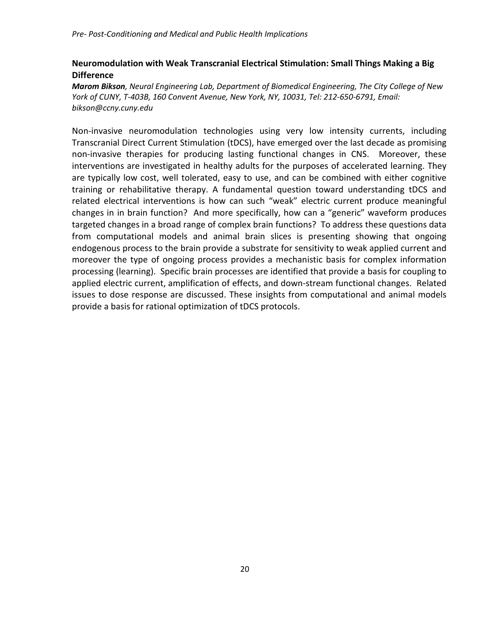## **Neuromodulation with Weak Transcranial Electrical Stimulation: Small Things Making a Big Difference**

*Marom Bikson, Neural Engineering Lab, Department of Biomedical Engineering, The City College of New York of CUNY, T-403B, 160 Convent Avenue, New York, NY, 10031, Tel: 212-650-6791, Email: bikson@ccny.cuny.edu*

Non-invasive neuromodulation technologies using very low intensity currents, including Transcranial Direct Current Stimulation (tDCS), have emerged over the last decade as promising non-invasive therapies for producing lasting functional changes in CNS. Moreover, these interventions are investigated in healthy adults for the purposes of accelerated learning. They are typically low cost, well tolerated, easy to use, and can be combined with either cognitive training or rehabilitative therapy. A fundamental question toward understanding tDCS and related electrical interventions is how can such "weak" electric current produce meaningful changes in in brain function? And more specifically, how can a "generic" waveform produces targeted changes in a broad range of complex brain functions? To address these questions data from computational models and animal brain slices is presenting showing that ongoing endogenous process to the brain provide a substrate for sensitivity to weak applied current and moreover the type of ongoing process provides a mechanistic basis for complex information processing (learning). Specific brain processes are identified that provide a basis for coupling to applied electric current, amplification of effects, and down-stream functional changes. Related issues to dose response are discussed. These insights from computational and animal models provide a basis for rational optimization of tDCS protocols.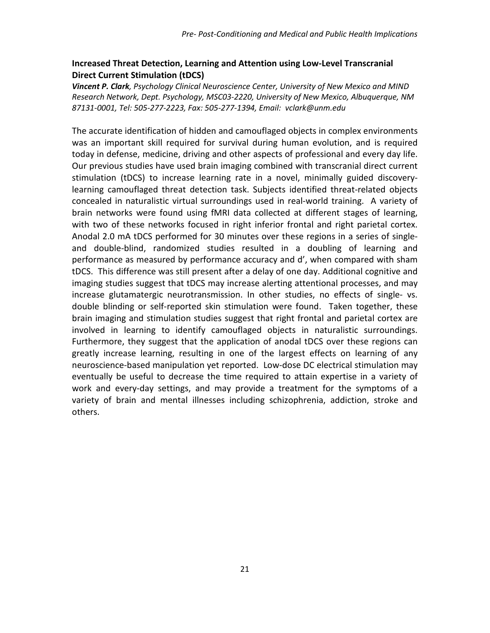## **Increased Threat Detection, Learning and Attention using Low-Level Transcranial Direct Current Stimulation (tDCS)**

*Vincent P. Clark, Psychology Clinical Neuroscience Center, University of New Mexico and MIND Research Network, Dept. Psychology, MSC03-2220, University of New Mexico, Albuquerque, NM 87131-0001, Tel: 505-277-2223, Fax: 505-277-1394, Email: vclark@unm.edu*

The accurate identification of hidden and camouflaged objects in complex environments was an important skill required for survival during human evolution, and is required today in defense, medicine, driving and other aspects of professional and every day life. Our previous studies have used brain imaging combined with transcranial direct current stimulation (tDCS) to increase learning rate in a novel, minimally guided discoverylearning camouflaged threat detection task. Subjects identified threat-related objects concealed in naturalistic virtual surroundings used in real-world training. A variety of brain networks were found using fMRI data collected at different stages of learning, with two of these networks focused in right inferior frontal and right parietal cortex. Anodal 2.0 mA tDCS performed for 30 minutes over these regions in a series of singleand double-blind, randomized studies resulted in a doubling of learning and performance as measured by performance accuracy and d', when compared with sham tDCS. This difference was still present after a delay of one day. Additional cognitive and imaging studies suggest that tDCS may increase alerting attentional processes, and may increase glutamatergic neurotransmission. In other studies, no effects of single- vs. double blinding or self-reported skin stimulation were found. Taken together, these brain imaging and stimulation studies suggest that right frontal and parietal cortex are involved in learning to identify camouflaged objects in naturalistic surroundings. Furthermore, they suggest that the application of anodal tDCS over these regions can greatly increase learning, resulting in one of the largest effects on learning of any neuroscience-based manipulation yet reported. Low-dose DC electrical stimulation may eventually be useful to decrease the time required to attain expertise in a variety of work and every-day settings, and may provide a treatment for the symptoms of a variety of brain and mental illnesses including schizophrenia, addiction, stroke and others.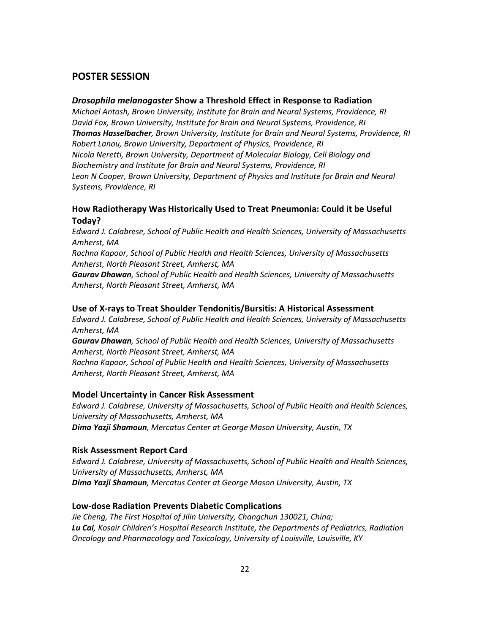### **POSTER SESSION**

#### *Drosophila melanogaster* **Show a Threshold Effect in Response to Radiation**

*Michael Antosh, Brown University, Institute for Brain and Neural Systems, Providence, RI David Fox, Brown University, Institute for Brain and Neural Systems, Providence, RI Thomas Hasselbacher, Brown University, Institute for Brain and Neural Systems, Providence, RI Robert Lanou, Brown University, Department of Physics, Providence, RI Nicola Neretti, Brown University, Department of Molecular Biology, Cell Biology and Biochemistry and Institute for Brain and Neural Systems, Providence, RI Leon N Cooper, Brown University, Department of Physics and Institute for Brain and Neural Systems, Providence, RI* 

### **How Radiotherapy Was Historically Used to Treat Pneumonia: Could it be Useful Today?**

*Edward J. Calabrese, School of Public Health and Health Sciences, University of Massachusetts Amherst, MA*

*Rachna Kapoor, School of Public Health and Health Sciences, University of Massachusetts Amherst, North Pleasant Street, Amherst, MA* 

*Gaurav Dhawan, School of Public Health and Health Sciences, University of Massachusetts Amherst, North Pleasant Street, Amherst, MA* 

#### **Use of X-rays to Treat Shoulder Tendonitis/Bursitis: A Historical Assessment**

*Edward J. Calabrese, School of Public Health and Health Sciences, University of Massachusetts Amherst, MA*

*Gaurav Dhawan, School of Public Health and Health Sciences, University of Massachusetts Amherst, North Pleasant Street, Amherst, MA* 

*Rachna Kapoor, School of Public Health and Health Sciences, University of Massachusetts Amherst, North Pleasant Street, Amherst, MA* 

#### **Model Uncertainty in Cancer Risk Assessment**

*Edward J. Calabrese, University of Massachusetts, School of Public Health and Health Sciences, University of Massachusetts, Amherst, MA Dima Yazji Shamoun, Mercatus Center at George Mason University, Austin, TX* 

#### **Risk Assessment Report Card**

*Edward J. Calabrese, University of Massachusetts, School of Public Health and Health Sciences, University of Massachusetts, Amherst, MA Dima Yazji Shamoun, Mercatus Center at George Mason University, Austin, TX* 

#### **Low-dose Radiation Prevents Diabetic Complications**

*Jie Cheng, The First Hospital of Jilin University, Changchun 130021, China; Lu Cai, Kosair Children's Hospital Research Institute, the Departments of Pediatrics, Radiation Oncology and Pharmacology and Toxicology, University of Louisville, Louisville, KY*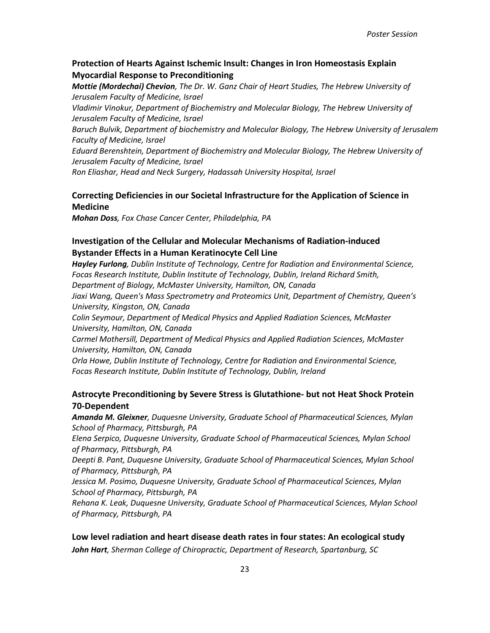### **Protection of Hearts Against Ischemic Insult: Changes in Iron Homeostasis Explain Myocardial Response to Preconditioning**

*Mottie (Mordechai) Chevion, The Dr. W. Ganz Chair of Heart Studies, The Hebrew University of Jerusalem Faculty of Medicine, Israel* 

*Vladimir Vinokur, Department of Biochemistry and Molecular Biology, The Hebrew University of Jerusalem Faculty of Medicine, Israel* 

*Baruch Bulvik, Department of biochemistry and Molecular Biology, The Hebrew University of Jerusalem Faculty of Medicine, Israel* 

*Eduard Berenshtein, Department of Biochemistry and Molecular Biology, The Hebrew University of Jerusalem Faculty of Medicine, Israel* 

*Ron Eliashar, Head and Neck Surgery, Hadassah University Hospital, Israel* 

### **Correcting Deficiencies in our Societal Infrastructure for the Application of Science in Medicine**

*Mohan Doss, Fox Chase Cancer Center, Philadelphia, PA*

### **Investigation of the Cellular and Molecular Mechanisms of Radiation-induced Bystander Effects in a Human Keratinocyte Cell Line**

*Hayley Furlong, Dublin Institute of Technology, Centre for Radiation and Environmental Science, Focas Research Institute, Dublin Institute of Technology, Dublin, Ireland Richard Smith, Department of Biology, McMaster University, Hamilton, ON, Canada Jiaxi Wang, Queen's Mass Spectrometry and Proteomics Unit, Department of Chemistry, Queen's University, Kingston, ON, Canada Colin Seymour, Department of Medical Physics and Applied Radiation Sciences, McMaster* 

*University, Hamilton, ON, Canada*

*Carmel Mothersill, Department of Medical Physics and Applied Radiation Sciences, McMaster University, Hamilton, ON, Canada* 

*Orla Howe, Dublin Institute of Technology, Centre for Radiation and Environmental Science, Focas Research Institute, Dublin Institute of Technology, Dublin, Ireland* 

### **Astrocyte Preconditioning by Severe Stress is Glutathione- but not Heat Shock Protein 70-Dependent**

*Amanda M. Gleixner, Duquesne University, Graduate School of Pharmaceutical Sciences, Mylan School of Pharmacy, Pittsburgh, PA*

*Elena Serpico, Duquesne University, Graduate School of Pharmaceutical Sciences, Mylan School of Pharmacy, Pittsburgh, PA*

*Deepti B. Pant, Duquesne University, Graduate School of Pharmaceutical Sciences, Mylan School of Pharmacy, Pittsburgh, PA*

*Jessica M. Posimo, Duquesne University, Graduate School of Pharmaceutical Sciences, Mylan School of Pharmacy, Pittsburgh, PA*

*Rehana K. Leak, Duquesne University, Graduate School of Pharmaceutical Sciences, Mylan School of Pharmacy, Pittsburgh, PA*

## **Low level radiation and heart disease death rates in four states: An ecological study** *John Hart, Sherman College of Chiropractic, Department of Research, Spartanburg, SC*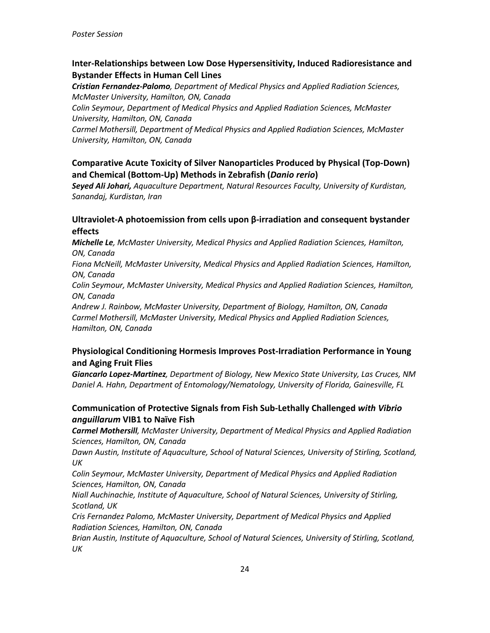## **Inter-Relationships between Low Dose Hypersensitivity, Induced Radioresistance and Bystander Effects in Human Cell Lines**

*Cristian Fernandez-Palomo, Department of Medical Physics and Applied Radiation Sciences, McMaster University, Hamilton, ON, Canada*

*Colin Seymour, Department of Medical Physics and Applied Radiation Sciences, McMaster University, Hamilton, ON, Canada*

*Carmel Mothersill, Department of Medical Physics and Applied Radiation Sciences, McMaster University, Hamilton, ON, Canada*

## **Comparative Acute Toxicity of Silver Nanoparticles Produced by Physical (Top-Down) and Chemical (Bottom-Up) Methods in Zebrafish (***Danio rerio***)**

*Seyed Ali Johari, Aquaculture Department, Natural Resources Faculty, University of Kurdistan, Sanandaj, Kurdistan, Iran*

## **Ultraviolet-A photoemission from cells upon β-irradiation and consequent bystander effects**

*Michelle Le, McMaster University, Medical Physics and Applied Radiation Sciences, Hamilton, ON, Canada*

*Fiona McNeill, McMaster University, Medical Physics and Applied Radiation Sciences, Hamilton, ON, Canada*

*Colin Seymour, McMaster University, Medical Physics and Applied Radiation Sciences, Hamilton, ON, Canada* 

*Andrew J. Rainbow, McMaster University, Department of Biology, Hamilton, ON, Canada Carmel Mothersill, McMaster University, Medical Physics and Applied Radiation Sciences, Hamilton, ON, Canada* 

## **Physiological Conditioning Hormesis Improves Post-Irradiation Performance in Young and Aging Fruit Flies**

*Giancarlo Lopez-Martinez, Department of Biology, New Mexico State University, Las Cruces, NM Daniel A. Hahn, Department of Entomology/Nematology, University of Florida, Gainesville, FL*

## **Communication of Protective Signals from Fish Sub-Lethally Challenged** *with Vibrio anguillarum* **VIB1 to Naïve Fish**

*Carmel Mothersill, McMaster University, Department of Medical Physics and Applied Radiation Sciences, Hamilton, ON, Canada*

*Dawn Austin, Institute of Aquaculture, School of Natural Sciences, University of Stirling, Scotland, UK*

*Colin Seymour, McMaster University, Department of Medical Physics and Applied Radiation Sciences, Hamilton, ON, Canada*

*Niall Auchinachie, Institute of Aquaculture, School of Natural Sciences, University of Stirling, Scotland, UK*

*Cris Fernandez Palomo, McMaster University, Department of Medical Physics and Applied Radiation Sciences, Hamilton, ON, Canada*

*Brian Austin, Institute of Aquaculture, School of Natural Sciences, University of Stirling, Scotland, UK*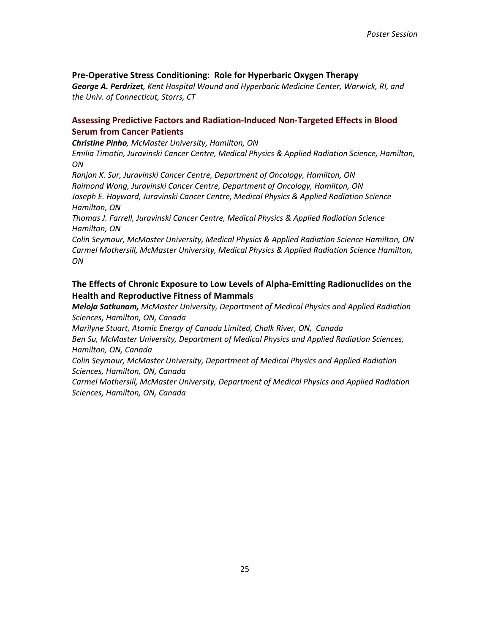#### **Pre-Operative Stress Conditioning: Role for Hyperbaric Oxygen Therapy**

*George A. Perdrizet, Kent Hospital Wound and Hyperbaric Medicine Center, Warwick, RI, and the Univ. of Connecticut, Storrs, CT*

### **Assessing Predictive Factors and Radiation-Induced Non-Targeted Effects in Blood Serum from Cancer Patients**

*Christine Pinho, McMaster University, Hamilton, ON*

*Emilia Timotin, Juravinski Cancer Centre, Medical Physics & Applied Radiation Science, Hamilton, ON*

*Ranjan K. Sur, Juravinski Cancer Centre, Department of Oncology, Hamilton, ON Raimond Wong, Juravinski Cancer Centre, Department of Oncology, Hamilton, ON Joseph E. Hayward, Juravinski Cancer Centre, Medical Physics & Applied Radiation Science Hamilton, ON*

*Thomas J. Farrell, Juravinski Cancer Centre, Medical Physics & Applied Radiation Science Hamilton, ON*

*Colin Seymour, McMaster University, Medical Physics & Applied Radiation Science Hamilton, ON Carmel Mothersill, McMaster University, Medical Physics & Applied Radiation Science Hamilton, ON*

## **The Effects of Chronic Exposure to Low Levels of Alpha-Emitting Radionuclides on the Health and Reproductive Fitness of Mammals**

*Meloja Satkunam, McMaster University, Department of Medical Physics and Applied Radiation Sciences, Hamilton, ON, Canada*

*Marilyne Stuart, Atomic Energy of Canada Limited, Chalk River, ON, Canada*

*Ben Su, McMaster University, Department of Medical Physics and Applied Radiation Sciences, Hamilton, ON, Canada*

*Colin Seymour, McMaster University, Department of Medical Physics and Applied Radiation Sciences, Hamilton, ON, Canada*

*Carmel Mothersill, McMaster University, Department of Medical Physics and Applied Radiation Sciences, Hamilton, ON, Canada*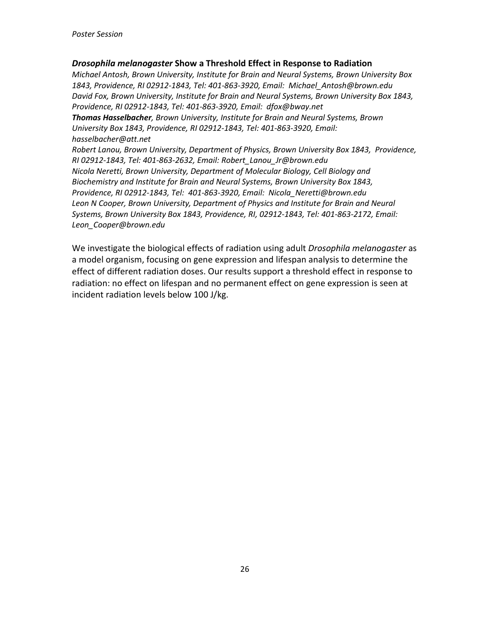#### *Drosophila melanogaster* **Show a Threshold Effect in Response to Radiation**

*Michael Antosh, Brown University, Institute for Brain and Neural Systems, Brown University Box 1843, Providence, RI 02912-1843, Tel: 401-863-3920, Email: [Michael\\_Antosh@brown.edu](mailto:Michael_Antosh@brown.edu) David Fox, Brown University, Institute for Brain and Neural Systems, Brown University Box 1843, Providence, RI 02912-1843, Tel: 401-863-3920, Email: [dfox@bway.net](mailto:dfox@bway.net) Thomas Hasselbacher, Brown University, Institute for Brain and Neural Systems, Brown University Box 1843, Providence, RI 02912-1843, Tel: 401-863-3920, Email: [hasselbacher@att.net](mailto:hasselbacher@att.net) Robert Lanou, Brown University, Department of Physics, Brown University Box 1843, Providence, RI 02912-1843, Tel: 401-863-2632, Email: Robert\_Lanou\_Jr@brown.edu Nicola Neretti, Brown University, Department of Molecular Biology, Cell Biology and Biochemistry and Institute for Brain and Neural Systems, Brown University Box 1843, Providence, RI 02912-1843, Tel: 401-863-3920, Email: Nicola\_Neretti@brown.edu Leon N Cooper, Brown University, Department of Physics and Institute for Brain and Neural Systems, Brown University Box 1843, Providence, RI, 02912-1843, Tel: 401-863-2172, Email:*

*Leon\_Cooper@brown.edu*

We investigate the biological effects of radiation using adult *Drosophila melanogaster* as a model organism, focusing on gene expression and lifespan analysis to determine the effect of different radiation doses. Our results support a threshold effect in response to radiation: no effect on lifespan and no permanent effect on gene expression is seen at incident radiation levels below 100 J/kg.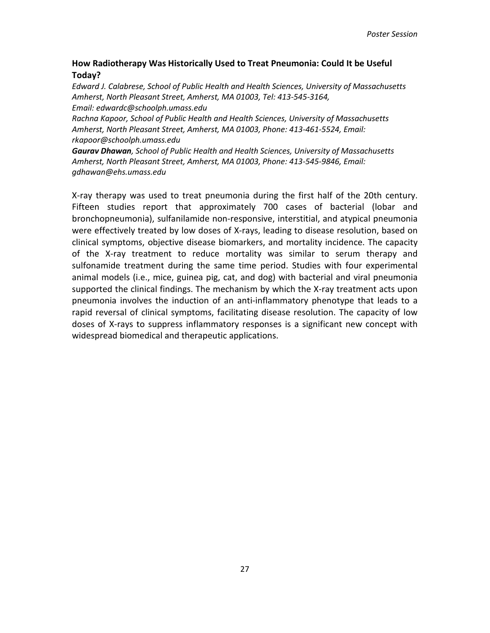## **How Radiotherapy Was Historically Used to Treat Pneumonia: Could It be Useful Today?**

*Edward J. Calabrese, School of Public Health and Health Sciences, University of Massachusetts Amherst, North Pleasant Street, Amherst, MA 01003, Tel: 413-545-3164, Email: edwardc@schoolph.umass.edu*

*Rachna Kapoor, School of Public Health and Health Sciences, University of Massachusetts Amherst, North Pleasant Street, Amherst, MA 01003, Phone: 413-461-5524, Email: rkapoor@schoolph.umass.edu*

*Gaurav Dhawan, School of Public Health and Health Sciences, University of Massachusetts Amherst, North Pleasant Street, Amherst, MA 01003, Phone: 413-545-9846, Email: gdhawan@ehs.umass.edu*

X-ray therapy was used to treat pneumonia during the first half of the 20th century. Fifteen studies report that approximately 700 cases of bacterial (lobar and bronchopneumonia), sulfanilamide non-responsive, interstitial, and atypical pneumonia were effectively treated by low doses of X-rays, leading to disease resolution, based on clinical symptoms, objective disease biomarkers, and mortality incidence. The capacity of the X-ray treatment to reduce mortality was similar to serum therapy and sulfonamide treatment during the same time period. Studies with four experimental animal models (i.e., mice, guinea pig, cat, and dog) with bacterial and viral pneumonia supported the clinical findings. The mechanism by which the X-ray treatment acts upon pneumonia involves the induction of an anti-inflammatory phenotype that leads to a rapid reversal of clinical symptoms, facilitating disease resolution. The capacity of low doses of X-rays to suppress inflammatory responses is a significant new concept with widespread biomedical and therapeutic applications.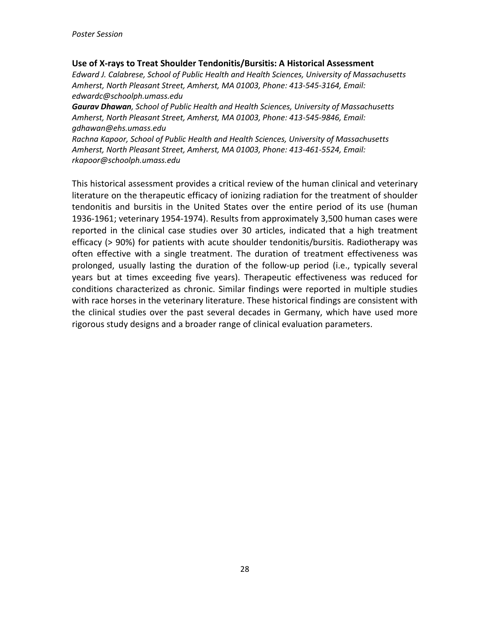#### **Use of X-rays to Treat Shoulder Tendonitis/Bursitis: A Historical Assessment**

*Edward J. Calabrese, School of Public Health and Health Sciences, University of Massachusetts Amherst, North Pleasant Street, Amherst, MA 01003, Phone: 413-545-3164, Email: edwardc@schoolph.umass.edu*

*Gaurav Dhawan, School of Public Health and Health Sciences, University of Massachusetts Amherst, North Pleasant Street, Amherst, MA 01003, Phone: 413-545-9846, Email: gdhawan@ehs.umass.edu*

*Rachna Kapoor, School of Public Health and Health Sciences, University of Massachusetts Amherst, North Pleasant Street, Amherst, MA 01003, Phone: 413-461-5524, Email: rkapoor@schoolph.umass.edu*

This historical assessment provides a critical review of the human clinical and veterinary literature on the therapeutic efficacy of ionizing radiation for the treatment of shoulder tendonitis and bursitis in the United States over the entire period of its use (human 1936-1961; veterinary 1954-1974). Results from approximately 3,500 human cases were reported in the clinical case studies over 30 articles, indicated that a high treatment efficacy (> 90%) for patients with acute shoulder tendonitis/bursitis. Radiotherapy was often effective with a single treatment. The duration of treatment effectiveness was prolonged, usually lasting the duration of the follow-up period (i.e., typically several years but at times exceeding five years). Therapeutic effectiveness was reduced for conditions characterized as chronic. Similar findings were reported in multiple studies with race horses in the veterinary literature. These historical findings are consistent with the clinical studies over the past several decades in Germany, which have used more rigorous study designs and a broader range of clinical evaluation parameters.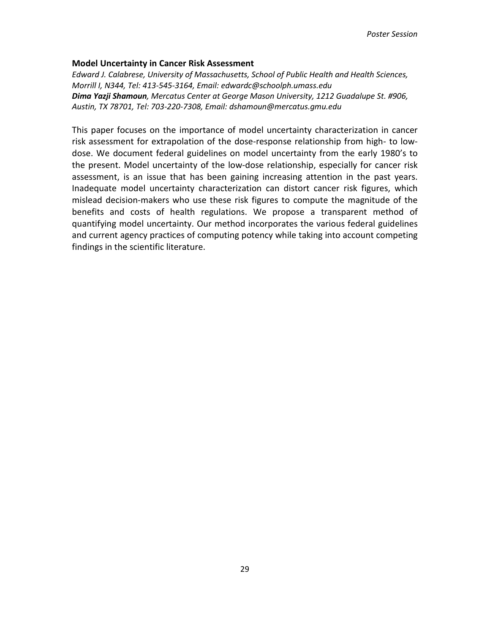#### **Model Uncertainty in Cancer Risk Assessment**

*Edward J. Calabrese, University of Massachusetts, School of Public Health and Health Sciences, Morrill I, N344, Tel: 413-545-3164, Email: edwardc@schoolph.umass.edu Dima Yazji Shamoun, Mercatus Center at George Mason University, 1212 Guadalupe St. #906, Austin, TX 78701, Tel: 703-220-7308, Email: dshamoun@mercatus.gmu.edu* 

This paper focuses on the importance of model uncertainty characterization in cancer risk assessment for extrapolation of the dose-response relationship from high- to lowdose. We document federal guidelines on model uncertainty from the early 1980's to the present. Model uncertainty of the low-dose relationship, especially for cancer risk assessment, is an issue that has been gaining increasing attention in the past years. Inadequate model uncertainty characterization can distort cancer risk figures, which mislead decision-makers who use these risk figures to compute the magnitude of the benefits and costs of health regulations. We propose a transparent method of quantifying model uncertainty. Our method incorporates the various federal guidelines and current agency practices of computing potency while taking into account competing findings in the scientific literature.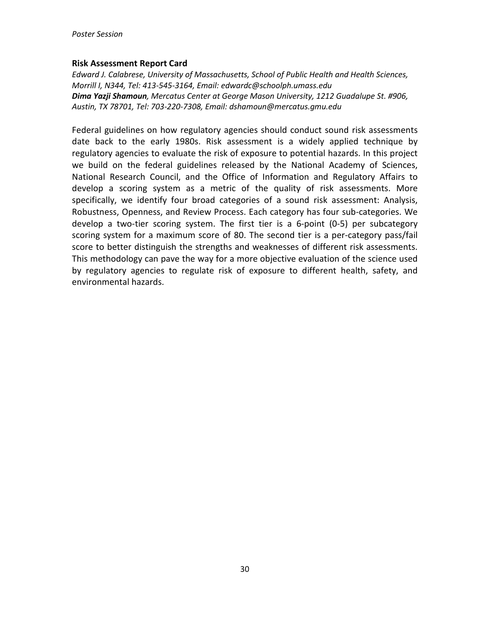#### **Risk Assessment Report Card**

*Edward J. Calabrese, University of Massachusetts, School of Public Health and Health Sciences, Morrill I, N344, Tel: 413-545-3164, Email: edwardc@schoolph.umass.edu Dima Yazji Shamoun, Mercatus Center at George Mason University, 1212 Guadalupe St. #906, Austin, TX 78701, Tel: 703-220-7308, Email: dshamoun@mercatus.gmu.edu* 

Federal guidelines on how regulatory agencies should conduct sound risk assessments date back to the early 1980s. Risk assessment is a widely applied technique by regulatory agencies to evaluate the risk of exposure to potential hazards. In this project we build on the federal guidelines released by the National Academy of Sciences, National Research Council, and the Office of Information and Regulatory Affairs to develop a scoring system as a metric of the quality of risk assessments. More specifically, we identify four broad categories of a sound risk assessment: Analysis, Robustness, Openness, and Review Process. Each category has four sub-categories. We develop a two-tier scoring system. The first tier is a 6-point (0-5) per subcategory scoring system for a maximum score of 80. The second tier is a per-category pass/fail score to better distinguish the strengths and weaknesses of different risk assessments. This methodology can pave the way for a more objective evaluation of the science used by regulatory agencies to regulate risk of exposure to different health, safety, and environmental hazards.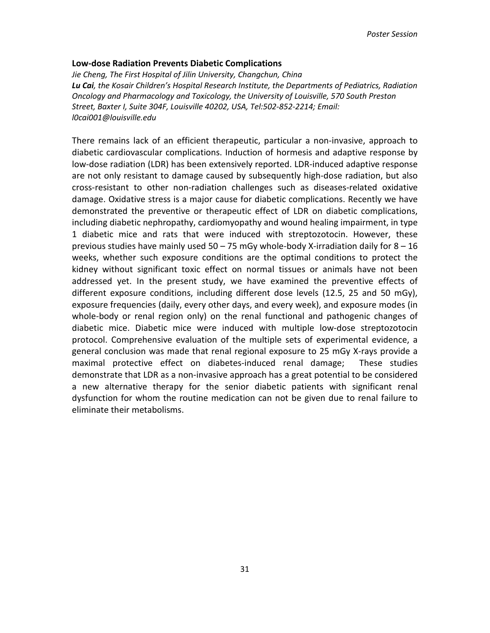#### **Low-dose Radiation Prevents Diabetic Complications**

*Jie Cheng, The First Hospital of Jilin University, Changchun, China Lu Cai, the Kosair Children's Hospital Research Institute, the Departments of Pediatrics, Radiation Oncology and Pharmacology and Toxicology, the University of Louisville, 570 South Preston Street, Baxter I, Suite 304F, Louisville 40202, USA, Tel:502-852-2214; Email: l0cai001@louisville.edu* 

There remains lack of an efficient therapeutic, particular a non-invasive, approach to diabetic cardiovascular complications. Induction of hormesis and adaptive response by low-dose radiation (LDR) has been extensively reported. LDR-induced adaptive response are not only resistant to damage caused by subsequently high-dose radiation, but also cross-resistant to other non-radiation challenges such as diseases-related oxidative damage. Oxidative stress is a major cause for diabetic complications. Recently we have demonstrated the preventive or therapeutic effect of LDR on diabetic complications, including diabetic nephropathy, cardiomyopathy and wound healing impairment, in type 1 diabetic mice and rats that were induced with streptozotocin. However, these previous studies have mainly used  $50 - 75$  mGy whole-body X-irradiation daily for  $8 - 16$ weeks, whether such exposure conditions are the optimal conditions to protect the kidney without significant toxic effect on normal tissues or animals have not been addressed yet. In the present study, we have examined the preventive effects of different exposure conditions, including different dose levels (12.5, 25 and 50 mGy), exposure frequencies (daily, every other days, and every week), and exposure modes (in whole-body or renal region only) on the renal functional and pathogenic changes of diabetic mice. Diabetic mice were induced with multiple low-dose streptozotocin protocol. Comprehensive evaluation of the multiple sets of experimental evidence, a general conclusion was made that renal regional exposure to 25 mGy X-rays provide a maximal protective effect on diabetes-induced renal damage; These studies demonstrate that LDR as a non-invasive approach has a great potential to be considered a new alternative therapy for the senior diabetic patients with significant renal dysfunction for whom the routine medication can not be given due to renal failure to eliminate their metabolisms.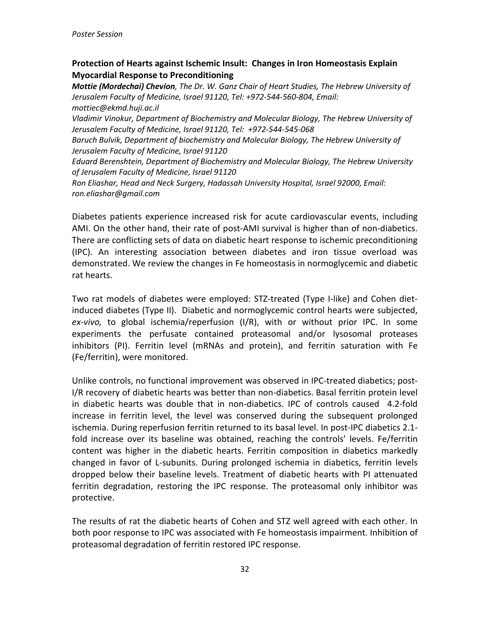## **Protection of Hearts against Ischemic Insult: Changes in Iron Homeostasis Explain Myocardial Response to Preconditioning**

*Mottie (Mordechai) Chevion, The Dr. W. Ganz Chair of Heart Studies, The Hebrew University of Jerusalem Faculty of Medicine, Israel 91120, Tel: +972-544-560-804, Email: mottiec@ekmd.huji.ac.il*

*Vladimir Vinokur, Department of Biochemistry and Molecular Biology, The Hebrew University of Jerusalem Faculty of Medicine, Israel 91120, Tel: +972-544-545-068*

*Baruch Bulvik, Department of biochemistry and Molecular Biology, The Hebrew University of Jerusalem Faculty of Medicine, Israel 91120* 

*Eduard Berenshtein, Department of Biochemistry and Molecular Biology, The Hebrew University of Jerusalem Faculty of Medicine, Israel 91120*

*Ron Eliashar, Head and Neck Surgery, Hadassah University Hospital, Israel 92000, Email: ron.eliashar@gmail.com* 

Diabetes patients experience increased risk for acute cardiovascular events, including AMI. On the other hand, their rate of post-AMI survival is higher than of non-diabetics. There are conflicting sets of data on diabetic heart response to ischemic preconditioning (IPC). An interesting association between diabetes and iron tissue overload was demonstrated. We review the changes in Fe homeostasis in normoglycemic and diabetic rat hearts.

Two rat models of diabetes were employed: STZ-treated (Type I-like) and Cohen dietinduced diabetes (Type II). Diabetic and normoglycemic control hearts were subjected, *ex-vivo,* to global ischemia/reperfusion (I/R), with or without prior IPC. In some experiments the perfusate contained proteasomal and/or lysosomal proteases inhibitors (PI). Ferritin level (mRNAs and protein), and ferritin saturation with Fe (Fe/ferritin), were monitored.

Unlike controls, no functional improvement was observed in IPC-treated diabetics; post-I/R recovery of diabetic hearts was better than non-diabetics. Basal ferritin protein level in diabetic hearts was double that in non-diabetics. IPC of controls caused 4.2-fold increase in ferritin level, the level was conserved during the subsequent prolonged ischemia. During reperfusion ferritin returned to its basal level. In post-IPC diabetics 2.1 fold increase over its baseline was obtained, reaching the controls' levels. Fe/ferritin content was higher in the diabetic hearts. Ferritin composition in diabetics markedly changed in favor of L-subunits. During prolonged ischemia in diabetics, ferritin levels dropped below their baseline levels. Treatment of diabetic hearts with PI attenuated ferritin degradation, restoring the IPC response. The proteasomal only inhibitor was protective.

The results of rat the diabetic hearts of Cohen and STZ well agreed with each other. In both poor response to IPC was associated with Fe homeostasis impairment. Inhibition of proteasomal degradation of ferritin restored IPC response.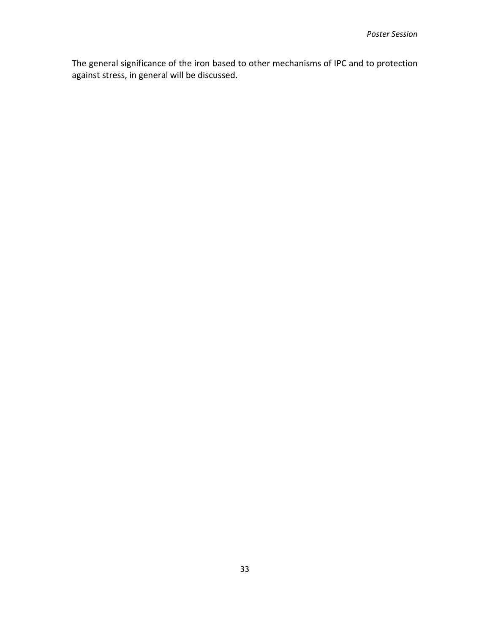The general significance of the iron based to other mechanisms of IPC and to protection against stress, in general will be discussed.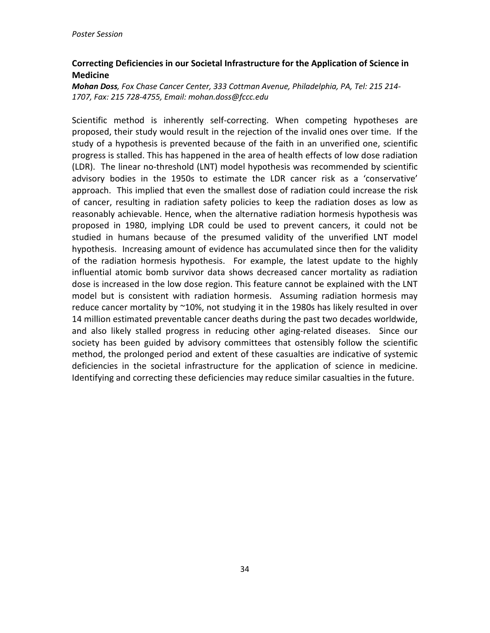## **Correcting Deficiencies in our Societal Infrastructure for the Application of Science in Medicine**

*Mohan Doss, Fox Chase Cancer Center, 333 Cottman Avenue, Philadelphia, PA, Tel: 215 214- 1707, Fax: 215 728-4755, Email: mohan.doss@fccc.edu*

Scientific method is inherently self-correcting. When competing hypotheses are proposed, their study would result in the rejection of the invalid ones over time. If the study of a hypothesis is prevented because of the faith in an unverified one, scientific progress is stalled. This has happened in the area of health effects of low dose radiation (LDR). The linear no-threshold (LNT) model hypothesis was recommended by scientific advisory bodies in the 1950s to estimate the LDR cancer risk as a 'conservative' approach. This implied that even the smallest dose of radiation could increase the risk of cancer, resulting in radiation safety policies to keep the radiation doses as low as reasonably achievable. Hence, when the alternative radiation hormesis hypothesis was proposed in 1980, implying LDR could be used to prevent cancers, it could not be studied in humans because of the presumed validity of the unverified LNT model hypothesis. Increasing amount of evidence has accumulated since then for the validity of the radiation hormesis hypothesis. For example, the latest update to the highly influential atomic bomb survivor data shows decreased cancer mortality as radiation dose is increased in the low dose region. This feature cannot be explained with the LNT model but is consistent with radiation hormesis. Assuming radiation hormesis may reduce cancer mortality by ~10%, not studying it in the 1980s has likely resulted in over 14 million estimated preventable cancer deaths during the past two decades worldwide, and also likely stalled progress in reducing other aging-related diseases. Since our society has been guided by advisory committees that ostensibly follow the scientific method, the prolonged period and extent of these casualties are indicative of systemic deficiencies in the societal infrastructure for the application of science in medicine. Identifying and correcting these deficiencies may reduce similar casualties in the future.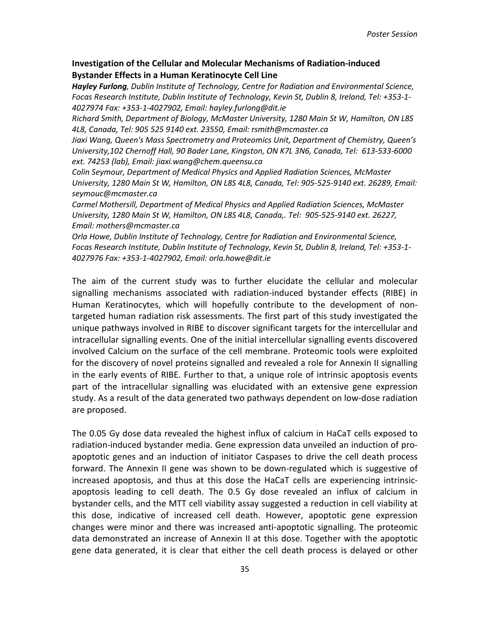### **Investigation of the Cellular and Molecular Mechanisms of Radiation-induced Bystander Effects in a Human Keratinocyte Cell Line**

*Hayley Furlong, Dublin Institute of Technology, Centre for Radiation and Environmental Science, Focas Research Institute, Dublin Institute of Technology, Kevin St, Dublin 8, Ireland, Tel: +353-1- 4027974 Fax: +353-1-4027902, Email: hayley.furlong@dit.ie* 

*Richard Smith, Department of Biology, McMaster University, 1280 Main St W, Hamilton, ON L8S 4L8, Canada, Tel: 905 525 9140 ext. 23550, Email: rsmith@mcmaster.ca* 

*Jiaxi Wang, Queen's Mass Spectrometry and Proteomics Unit, Department of Chemistry, Queen's University,102 Chernoff Hall, 90 Bader Lane, Kingston, ON K7L 3N6, Canada, Tel: 613-533-6000 ext. 74253 (lab), Email: jiaxi.wang@chem.queensu.ca* 

*Colin Seymour, Department of Medical Physics and Applied Radiation Sciences, McMaster University, 1280 Main St W, Hamilton, ON L8S 4L8, Canada, Tel: 905-525-9140 ext. 26289, Email: seymouc@mcmaster.ca* 

*Carmel Mothersill, Department of Medical Physics and Applied Radiation Sciences, McMaster University, 1280 Main St W, Hamilton, ON L8S 4L8, Canada,. Tel: 905-525-9140 ext. 26227, Email: mothers@mcmaster.ca* 

*Orla Howe, Dublin Institute of Technology, Centre for Radiation and Environmental Science, Focas Research Institute, Dublin Institute of Technology, Kevin St, Dublin 8, Ireland, Tel: +353-1- 4027976 Fax: +353-1-4027902, Email: orla.howe@dit.ie*

The aim of the current study was to further elucidate the cellular and molecular signalling mechanisms associated with radiation-induced bystander effects (RIBE) in Human Keratinocytes, which will hopefully contribute to the development of nontargeted human radiation risk assessments. The first part of this study investigated the unique pathways involved in RIBE to discover significant targets for the intercellular and intracellular signalling events. One of the initial intercellular signalling events discovered involved Calcium on the surface of the cell membrane. Proteomic tools were exploited for the discovery of novel proteins signalled and revealed a role for Annexin II signalling in the early events of RIBE. Further to that, a unique role of intrinsic apoptosis events part of the intracellular signalling was elucidated with an extensive gene expression study. As a result of the data generated two pathways dependent on low-dose radiation are proposed.

The 0.05 Gy dose data revealed the highest influx of calcium in HaCaT cells exposed to radiation-induced bystander media. Gene expression data unveiled an induction of proapoptotic genes and an induction of initiator Caspases to drive the cell death process forward. The Annexin II gene was shown to be down-regulated which is suggestive of increased apoptosis, and thus at this dose the HaCaT cells are experiencing intrinsicapoptosis leading to cell death. The 0.5 Gy dose revealed an influx of calcium in bystander cells, and the MTT cell viability assay suggested a reduction in cell viability at this dose, indicative of increased cell death. However, apoptotic gene expression changes were minor and there was increased anti-apoptotic signalling. The proteomic data demonstrated an increase of Annexin II at this dose. Together with the apoptotic gene data generated, it is clear that either the cell death process is delayed or other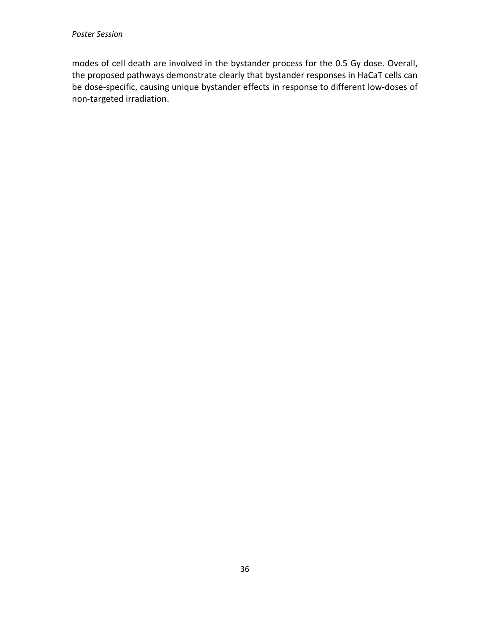modes of cell death are involved in the bystander process for the 0.5 Gy dose. Overall, the proposed pathways demonstrate clearly that bystander responses in HaCaT cells can be dose-specific, causing unique bystander effects in response to different low-doses of non-targeted irradiation.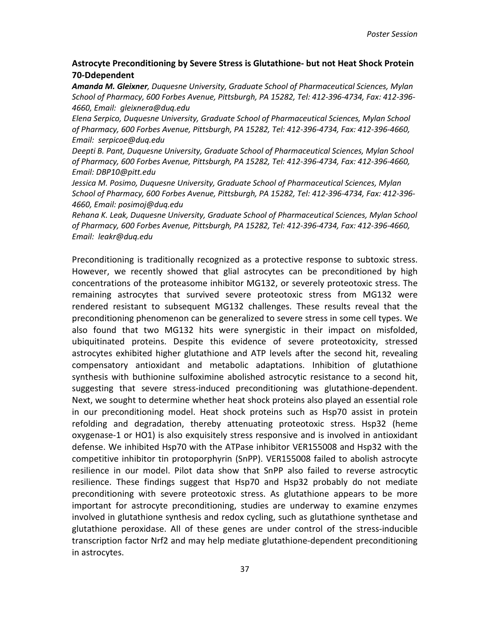### **Astrocyte Preconditioning by Severe Stress is Glutathione- but not Heat Shock Protein 70-Ddependent**

*Amanda M. Gleixner, Duquesne University, Graduate School of Pharmaceutical Sciences, Mylan School of Pharmacy, 600 Forbes Avenue, Pittsburgh, PA 15282, Tel: 412-396-4734, Fax: 412-396- 4660, Email: gleixnera@duq.edu*

*Elena Serpico, Duquesne University, Graduate School of Pharmaceutical Sciences, Mylan School of Pharmacy, 600 Forbes Avenue, Pittsburgh, PA 15282, Tel: 412-396-4734, Fax: 412-396-4660, Email: serpicoe@duq.edu*

*Deepti B. Pant, Duquesne University, Graduate School of Pharmaceutical Sciences, Mylan School of Pharmacy, 600 Forbes Avenue, Pittsburgh, PA 15282, Tel: 412-396-4734, Fax: 412-396-4660, Email: DBP10@pitt.edu*

*Jessica M. Posimo, Duquesne University, Graduate School of Pharmaceutical Sciences, Mylan School of Pharmacy, 600 Forbes Avenue, Pittsburgh, PA 15282, Tel: 412-396-4734, Fax: 412-396- 4660, Email: posimoj@duq.edu*

*Rehana K. Leak, Duquesne University, Graduate School of Pharmaceutical Sciences, Mylan School of Pharmacy, 600 Forbes Avenue, Pittsburgh, PA 15282, Tel: 412-396-4734, Fax: 412-396-4660, Email: leakr@duq.edu* 

Preconditioning is traditionally recognized as a protective response to subtoxic stress. However, we recently showed that glial astrocytes can be preconditioned by high concentrations of the proteasome inhibitor MG132, or severely proteotoxic stress. The remaining astrocytes that survived severe proteotoxic stress from MG132 were rendered resistant to subsequent MG132 challenges. These results reveal that the preconditioning phenomenon can be generalized to severe stress in some cell types. We also found that two MG132 hits were synergistic in their impact on misfolded, ubiquitinated proteins. Despite this evidence of severe proteotoxicity, stressed astrocytes exhibited higher glutathione and ATP levels after the second hit, revealing compensatory antioxidant and metabolic adaptations. Inhibition of glutathione synthesis with buthionine sulfoximine abolished astrocytic resistance to a second hit, suggesting that severe stress-induced preconditioning was glutathione-dependent. Next, we sought to determine whether heat shock proteins also played an essential role in our preconditioning model. Heat shock proteins such as Hsp70 assist in protein refolding and degradation, thereby attenuating proteotoxic stress. Hsp32 (heme oxygenase-1 or HO1) is also exquisitely stress responsive and is involved in antioxidant defense. We inhibited Hsp70 with the ATPase inhibitor VER155008 and Hsp32 with the competitive inhibitor tin protoporphyrin (SnPP). VER155008 failed to abolish astrocyte resilience in our model. Pilot data show that SnPP also failed to reverse astrocytic resilience. These findings suggest that Hsp70 and Hsp32 probably do not mediate preconditioning with severe proteotoxic stress. As glutathione appears to be more important for astrocyte preconditioning, studies are underway to examine enzymes involved in glutathione synthesis and redox cycling, such as glutathione synthetase and glutathione peroxidase. All of these genes are under control of the stress-inducible transcription factor Nrf2 and may help mediate glutathione-dependent preconditioning in astrocytes.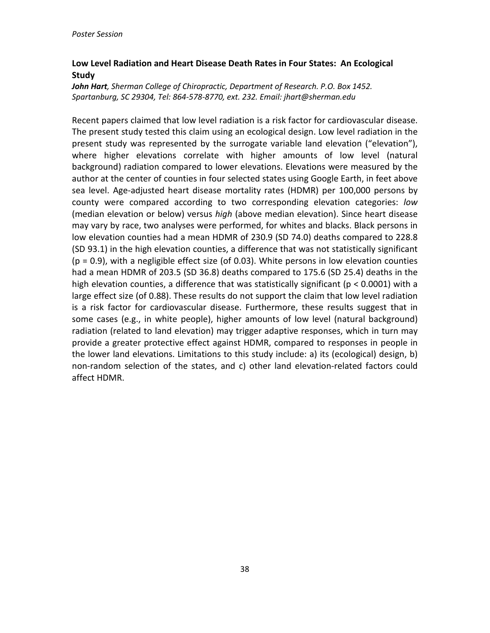# **Low Level Radiation and Heart Disease Death Rates in Four States: An Ecological Study**

*John Hart, Sherman College of Chiropractic, Department of Research. P.O. Box 1452. Spartanburg, SC 29304, Tel: 864-578-8770, ext. 232. Email: jhart@sherman.edu* 

Recent papers claimed that low level radiation is a risk factor for cardiovascular disease. The present study tested this claim using an ecological design. Low level radiation in the present study was represented by the surrogate variable land elevation ("elevation"), where higher elevations correlate with higher amounts of low level (natural background) radiation compared to lower elevations. Elevations were measured by the author at the center of counties in four selected states using Google Earth, in feet above sea level. Age-adjusted heart disease mortality rates (HDMR) per 100,000 persons by county were compared according to two corresponding elevation categories: *low* (median elevation or below) versus *high* (above median elevation). Since heart disease may vary by race, two analyses were performed, for whites and blacks. Black persons in low elevation counties had a mean HDMR of 230.9 (SD 74.0) deaths compared to 228.8 (SD 93.1) in the high elevation counties, a difference that was not statistically significant  $(p = 0.9)$ , with a negligible effect size (of 0.03). White persons in low elevation counties had a mean HDMR of 203.5 (SD 36.8) deaths compared to 175.6 (SD 25.4) deaths in the high elevation counties, a difference that was statistically significant (p < 0.0001) with a large effect size (of 0.88). These results do not support the claim that low level radiation is a risk factor for cardiovascular disease. Furthermore, these results suggest that in some cases (e.g., in white people), higher amounts of low level (natural background) radiation (related to land elevation) may trigger adaptive responses, which in turn may provide a greater protective effect against HDMR, compared to responses in people in the lower land elevations. Limitations to this study include: a) its (ecological) design, b) non-random selection of the states, and c) other land elevation-related factors could affect HDMR.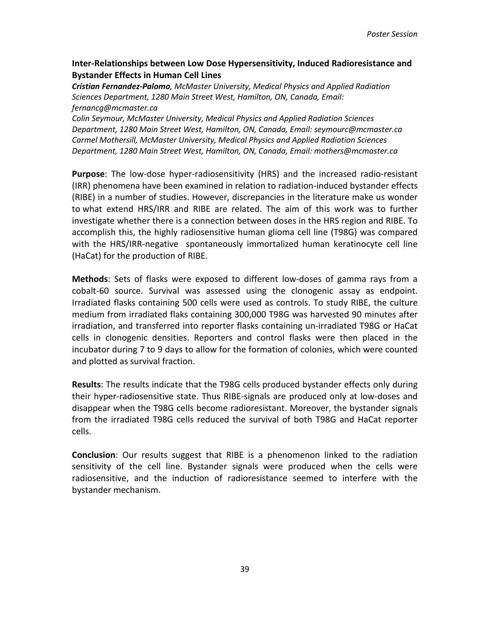### **Inter-Relationships between Low Dose Hypersensitivity, Induced Radioresistance and Bystander Effects in Human Cell Lines**

*Cristian Fernandez-Palomo, McMaster University, Medical Physics and Applied Radiation Sciences Department, 1280 Main Street West, Hamilton, ON, Canada, Email: fernancg@mcmaster.ca*

*Colin Seymour, McMaster University, Medical Physics and Applied Radiation Sciences Department, 1280 Main Street West, Hamilton, ON, Canada, Email: seymourc@mcmaster.ca Carmel Mothersill, McMaster University, Medical Physics and Applied Radiation Sciences Department, 1280 Main Street West, Hamilton, ON, Canada, Email: mothers@mcmaster.ca*

**Purpose**: The low-dose hyper-radiosensitivity (HRS) and the increased radio-resistant (IRR) phenomena have been examined in relation to radiation-induced bystander effects (RIBE) in a number of studies. However, discrepancies in the literature make us wonder to what extend HRS/IRR and RIBE are related. The aim of this work was to further investigate whether there is a connection between doses in the HRS region and RIBE. To accomplish this, the highly radiosensitive human glioma cell line (T98G) was compared with the HRS/IRR-negative spontaneously immortalized human keratinocyte cell line (HaCat) for the production of RIBE.

**Methods**: Sets of flasks were exposed to different low-doses of gamma rays from a cobalt-60 source. Survival was assessed using the clonogenic assay as endpoint. Irradiated flasks containing 500 cells were used as controls. To study RIBE, the culture medium from irradiated flaks containing 300,000 T98G was harvested 90 minutes after irradiation, and transferred into reporter flasks containing un-irradiated T98G or HaCat cells in clonogenic densities. Reporters and control flasks were then placed in the incubator during 7 to 9 days to allow for the formation of colonies, which were counted and plotted as survival fraction.

**Results**: The results indicate that the T98G cells produced bystander effects only during their hyper-radiosensitive state. Thus RIBE-signals are produced only at low-doses and disappear when the T98G cells become radioresistant. Moreover, the bystander signals from the irradiated T98G cells reduced the survival of both T98G and HaCat reporter cells.

**Conclusion**: Our results suggest that RIBE is a phenomenon linked to the radiation sensitivity of the cell line. Bystander signals were produced when the cells were radiosensitive, and the induction of radioresistance seemed to interfere with the bystander mechanism.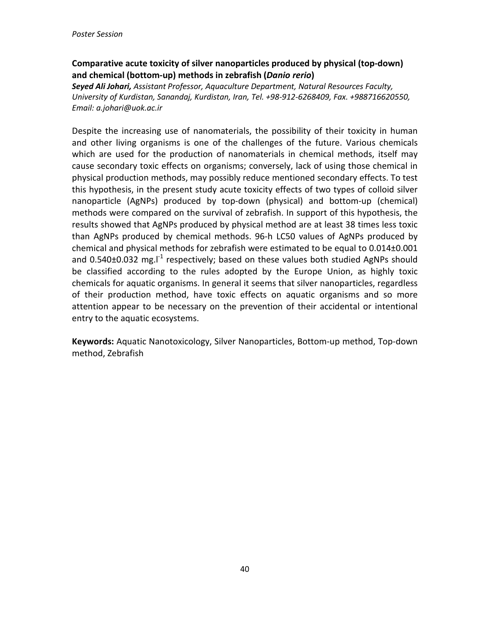# **Comparative acute toxicity of silver nanoparticles produced by physical (top-down) and chemical (bottom-up) methods in zebrafish (***Danio rerio***)**

*Seyed Ali Johari, Assistant Professor, Aquaculture Department, Natural Resources Faculty, University of Kurdistan, Sanandaj, Kurdistan, Iran, Tel. +98-912-6268409, Fax. +988716620550, Email: a.johari@uok.ac.ir*

Despite the increasing use of nanomaterials, the possibility of their toxicity in human and other living organisms is one of the challenges of the future. Various chemicals which are used for the production of nanomaterials in chemical methods, itself may cause secondary toxic effects on organisms; conversely, lack of using those chemical in physical production methods, may possibly reduce mentioned secondary effects. To test this hypothesis, in the present study acute toxicity effects of two types of colloid silver nanoparticle (AgNPs) produced by top-down (physical) and bottom-up (chemical) methods were compared on the survival of zebrafish. In support of this hypothesis, the results showed that AgNPs produced by physical method are at least 38 times less toxic than AgNPs produced by chemical methods. 96-h LC50 values of AgNPs produced by chemical and physical methods for zebrafish were estimated to be equal to 0.014±0.001 and 0.540 $\pm$ 0.032 mg. $I^1$  respectively; based on these values both studied AgNPs should be classified according to the rules adopted by the Europe Union, as highly toxic chemicals for aquatic organisms. In general it seems that silver nanoparticles, regardless of their production method, have toxic effects on aquatic organisms and so more attention appear to be necessary on the prevention of their accidental or intentional entry to the aquatic ecosystems.

**Keywords:** Aquatic Nanotoxicology, Silver Nanoparticles, Bottom-up method, Top-down method, Zebrafish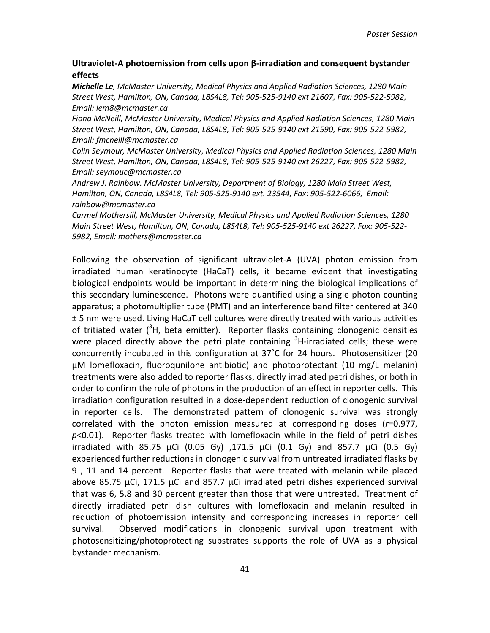### **Ultraviolet-A photoemission from cells upon β-irradiation and consequent bystander effects**

*Michelle Le, McMaster University, Medical Physics and Applied Radiation Sciences, 1280 Main Street West, Hamilton, ON, Canada, L8S4L8, Tel: 905-525-9140 ext 21607, Fax: 905-522-5982, Email: lem8@mcmaster.ca*

*Fiona McNeill, McMaster University, Medical Physics and Applied Radiation Sciences, 1280 Main Street West, Hamilton, ON, Canada, L8S4L8, Tel: 905-525-9140 ext 21590, Fax: 905-522-5982, Email: fmcneill@mcmaster.ca*

*Colin Seymour, McMaster University, Medical Physics and Applied Radiation Sciences, 1280 Main Street West, Hamilton, ON, Canada, L8S4L8, Tel: 905-525-9140 ext 26227, Fax: 905-522-5982, Email: seymouc@mcmaster.ca*

*Andrew J. Rainbow. McMaster University, Department of Biology, 1280 Main Street West, Hamilton, ON, Canada, L8S4L8, Tel: 905-525-9140 ext. 23544, Fax: 905-522-6066, Email: rainbow@mcmaster.ca*

*Carmel Mothersill, McMaster University, Medical Physics and Applied Radiation Sciences, 1280 Main Street West, Hamilton, ON, Canada, L8S4L8, Tel: 905-525-9140 ext 26227, Fax: 905-522- 5982, Email: mothers@mcmaster.ca*

Following the observation of significant ultraviolet-A (UVA) photon emission from irradiated human keratinocyte (HaCaT) cells, it became evident that investigating biological endpoints would be important in determining the biological implications of this secondary luminescence. Photons were quantified using a single photon counting apparatus; a photomultiplier tube (PMT) and an interference band filter centered at 340 ± 5 nm were used. Living HaCaT cell cultures were directly treated with various activities of tritiated water  $(3H)$ , beta emitter). Reporter flasks containing clonogenic densities were placed directly above the petri plate containing <sup>3</sup>H-irradiated cells; these were concurrently incubated in this configuration at 37˚C for 24 hours. Photosensitizer (20 μM lomefloxacin, fluoroqunilone antibiotic) and photoprotectant (10 mg/L melanin) treatments were also added to reporter flasks, directly irradiated petri dishes, or both in order to confirm the role of photons in the production of an effect in reporter cells. This irradiation configuration resulted in a dose-dependent reduction of clonogenic survival in reporter cells. The demonstrated pattern of clonogenic survival was strongly correlated with the photon emission measured at corresponding doses (*r*=0.977, *p*<0.01). Reporter flasks treated with lomefloxacin while in the field of petri dishes irradiated with 85.75 μCi (0.05 Gy), 171.5 μCi (0.1 Gy) and 857.7 μCi (0.5 Gy) experienced further reductions in clonogenic survival from untreated irradiated flasks by 9 , 11 and 14 percent. Reporter flasks that were treated with melanin while placed above 85.75 μCi, 171.5 μCi and 857.7 μCi irradiated petri dishes experienced survival that was 6, 5.8 and 30 percent greater than those that were untreated. Treatment of directly irradiated petri dish cultures with lomefloxacin and melanin resulted in reduction of photoemission intensity and corresponding increases in reporter cell survival. Observed modifications in clonogenic survival upon treatment with photosensitizing/photoprotecting substrates supports the role of UVA as a physical bystander mechanism.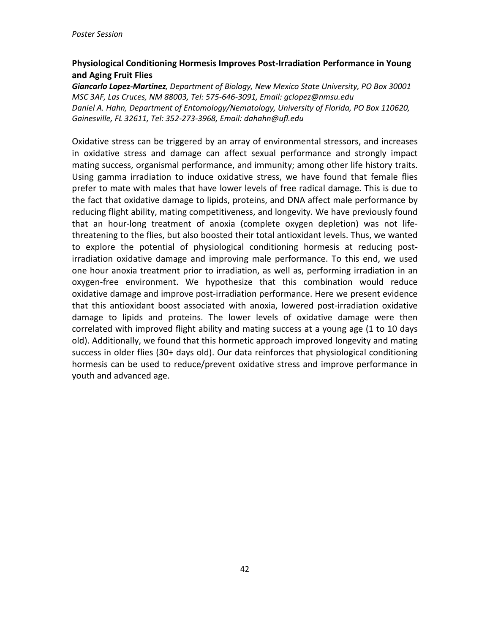# **Physiological Conditioning Hormesis Improves Post-Irradiation Performance in Young and Aging Fruit Flies**

*Giancarlo Lopez-Martinez, Department of Biology, New Mexico State University, PO Box 30001 MSC 3AF, Las Cruces, NM 88003, Tel: 575-646-3091, Email: gclopez@nmsu.edu Daniel A. Hahn, Department of Entomology/Nematology, University of Florida, PO Box 110620, Gainesville, FL 32611, Tel: 352-273-3968, Email: dahahn@ufl.edu*

Oxidative stress can be triggered by an array of environmental stressors, and increases in oxidative stress and damage can affect sexual performance and strongly impact mating success, organismal performance, and immunity; among other life history traits. Using gamma irradiation to induce oxidative stress, we have found that female flies prefer to mate with males that have lower levels of free radical damage. This is due to the fact that oxidative damage to lipids, proteins, and DNA affect male performance by reducing flight ability, mating competitiveness, and longevity. We have previously found that an hour-long treatment of anoxia (complete oxygen depletion) was not lifethreatening to the flies, but also boosted their total antioxidant levels. Thus, we wanted to explore the potential of physiological conditioning hormesis at reducing postirradiation oxidative damage and improving male performance. To this end, we used one hour anoxia treatment prior to irradiation, as well as, performing irradiation in an oxygen-free environment. We hypothesize that this combination would reduce oxidative damage and improve post-irradiation performance. Here we present evidence that this antioxidant boost associated with anoxia, lowered post-irradiation oxidative damage to lipids and proteins. The lower levels of oxidative damage were then correlated with improved flight ability and mating success at a young age (1 to 10 days old). Additionally, we found that this hormetic approach improved longevity and mating success in older flies (30+ days old). Our data reinforces that physiological conditioning hormesis can be used to reduce/prevent oxidative stress and improve performance in youth and advanced age.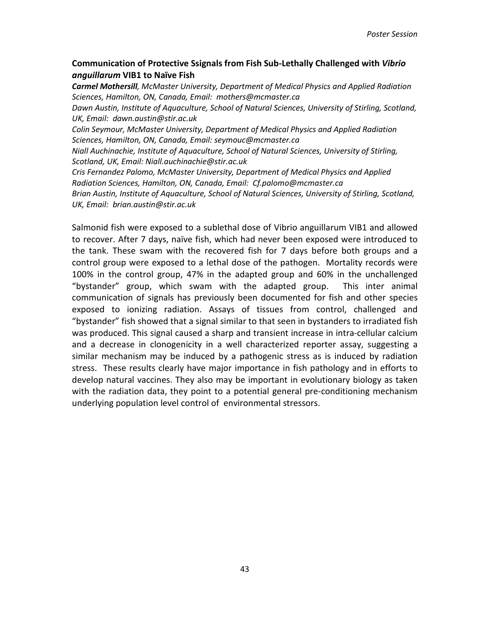### **Communication of Protective Ssignals from Fish Sub-Lethally Challenged with** *Vibrio anguillarum* **VIB1 to Naïve Fish**

*Carmel Mothersill, McMaster University, Department of Medical Physics and Applied Radiation Sciences, Hamilton, ON, Canada, Email: mothers@mcmaster.ca*

*Dawn Austin, Institute of Aquaculture, School of Natural Sciences, University of Stirling, Scotland, UK, Email: dawn.austin@stir.ac.uk*

*Colin Seymour, McMaster University, Department of Medical Physics and Applied Radiation Sciences, Hamilton, ON, Canada, Email: seymouc@mcmaster.ca*

*Niall Auchinachie, Institute of Aquaculture, School of Natural Sciences, University of Stirling, Scotland, UK, Email: Niall.auchinachie@stir.ac.uk*

*Cris Fernandez Palomo, McMaster University, Department of Medical Physics and Applied Radiation Sciences, Hamilton, ON, Canada, Email: Cf.palomo@mcmaster.ca*

*Brian Austin, Institute of Aquaculture, School of Natural Sciences, University of Stirling, Scotland, UK, Email: brian.austin@stir.ac.uk*

Salmonid fish were exposed to a sublethal dose of Vibrio anguillarum VIB1 and allowed to recover. After 7 days, naïve fish, which had never been exposed were introduced to the tank. These swam with the recovered fish for 7 days before both groups and a control group were exposed to a lethal dose of the pathogen. Mortality records were 100% in the control group, 47% in the adapted group and 60% in the unchallenged "bystander" group, which swam with the adapted group. This inter animal communication of signals has previously been documented for fish and other species exposed to ionizing radiation. Assays of tissues from control, challenged and "bystander" fish showed that a signal similar to that seen in bystanders to irradiated fish was produced. This signal caused a sharp and transient increase in intra-cellular calcium and a decrease in clonogenicity in a well characterized reporter assay, suggesting a similar mechanism may be induced by a pathogenic stress as is induced by radiation stress. These results clearly have major importance in fish pathology and in efforts to develop natural vaccines. They also may be important in evolutionary biology as taken with the radiation data, they point to a potential general pre-conditioning mechanism underlying population level control of environmental stressors.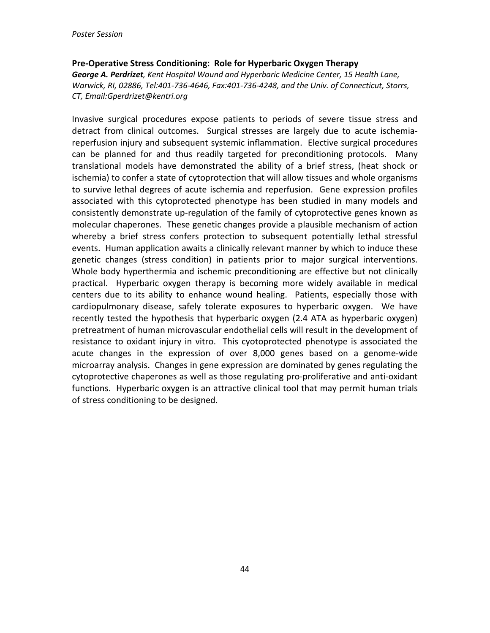#### **Pre-Operative Stress Conditioning: Role for Hyperbaric Oxygen Therapy**

*George A. Perdrizet, Kent Hospital Wound and Hyperbaric Medicine Center, 15 Health Lane, Warwick, RI, 02886, Tel:401-736-4646, Fax:401-736-4248, and the Univ. of Connecticut, Storrs, CT, Email:Gperdrizet@kentri.org*

Invasive surgical procedures expose patients to periods of severe tissue stress and detract from clinical outcomes. Surgical stresses are largely due to acute ischemiareperfusion injury and subsequent systemic inflammation. Elective surgical procedures can be planned for and thus readily targeted for preconditioning protocols. Many translational models have demonstrated the ability of a brief stress, (heat shock or ischemia) to confer a state of cytoprotection that will allow tissues and whole organisms to survive lethal degrees of acute ischemia and reperfusion. Gene expression profiles associated with this cytoprotected phenotype has been studied in many models and consistently demonstrate up-regulation of the family of cytoprotective genes known as molecular chaperones. These genetic changes provide a plausible mechanism of action whereby a brief stress confers protection to subsequent potentially lethal stressful events. Human application awaits a clinically relevant manner by which to induce these genetic changes (stress condition) in patients prior to major surgical interventions. Whole body hyperthermia and ischemic preconditioning are effective but not clinically practical. Hyperbaric oxygen therapy is becoming more widely available in medical centers due to its ability to enhance wound healing. Patients, especially those with cardiopulmonary disease, safely tolerate exposures to hyperbaric oxygen. We have recently tested the hypothesis that hyperbaric oxygen (2.4 ATA as hyperbaric oxygen) pretreatment of human microvascular endothelial cells will result in the development of resistance to oxidant injury in vitro. This cyotoprotected phenotype is associated the acute changes in the expression of over 8,000 genes based on a genome-wide microarray analysis. Changes in gene expression are dominated by genes regulating the cytoprotective chaperones as well as those regulating pro-proliferative and anti-oxidant functions. Hyperbaric oxygen is an attractive clinical tool that may permit human trials of stress conditioning to be designed.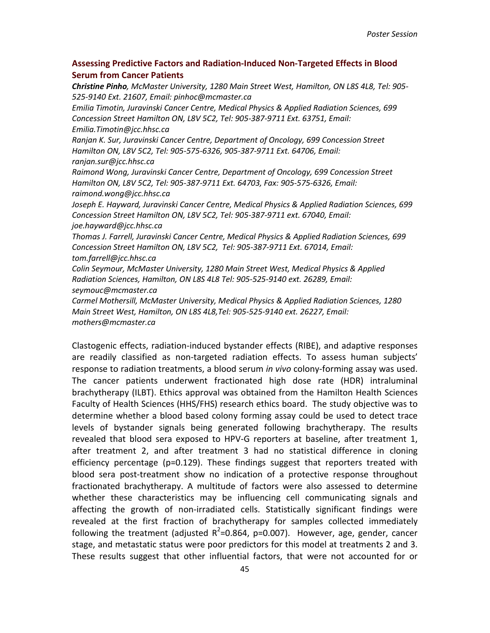### **Assessing Predictive Factors and Radiation-Induced Non-Targeted Effects in Blood Serum from Cancer Patients**

*Christine Pinho, McMaster University, 1280 Main Street West, Hamilton, ON L8S 4L8, Tel: 905- 525-9140 Ext. 21607, Email: pinhoc@mcmaster.ca*

*Emilia Timotin, Juravinski Cancer Centre, Medical Physics & Applied Radiation Sciences, 699 Concession Street Hamilton ON, L8V 5C2, Tel: 905-387-9711 Ext. 63751, Email: Emilia.Timotin@jcc.hhsc.ca*

*Ranjan K. Sur, Juravinski Cancer Centre, Department of Oncology, 699 Concession Street Hamilton ON, L8V 5C2, Tel: 905-575-6326, 905-387-9711 Ext. 64706, Email: ranjan.sur@jcc.hhsc.ca*

*Raimond Wong, Juravinski Cancer Centre, Department of Oncology, 699 Concession Street Hamilton ON, L8V 5C2, Tel: 905-387-9711 Ext. 64703, Fax: 905-575-6326, Email: raimond.wong@jcc.hhsc.ca*

*Joseph E. Hayward, Juravinski Cancer Centre, Medical Physics & Applied Radiation Sciences, 699 Concession Street Hamilton ON, L8V 5C2, Tel: 905-387-9711 ext. 67040, Email: joe.hayward@jcc.hhsc.ca*

*Thomas J. Farrell, Juravinski Cancer Centre, Medical Physics & Applied Radiation Sciences, 699 Concession Street Hamilton ON, L8V 5C2, Tel: 905-387-9711 Ext. 67014, Email: tom.farrell@jcc.hhsc.ca*

*Colin Seymour, McMaster University, 1280 Main Street West, Medical Physics & Applied Radiation Sciences, Hamilton, ON L8S 4L8 Tel: 905-525-9140 ext. 26289, Email: seymouc@mcmaster.ca*

*Carmel Mothersill, McMaster University, Medical Physics & Applied Radiation Sciences, 1280 Main Street West, Hamilton, ON L8S 4L8,Tel: 905-525-9140 ext. 26227, Email: mothers@mcmaster.ca*

Clastogenic effects, radiation-induced bystander effects (RIBE), and adaptive responses are readily classified as non-targeted radiation effects. To assess human subjects' response to radiation treatments, a blood serum *in vivo* colony-forming assay was used. The cancer patients underwent fractionated high dose rate (HDR) intraluminal brachytherapy (ILBT). Ethics approval was obtained from the Hamilton Health Sciences Faculty of Health Sciences (HHS/FHS) research ethics board. The study objective was to determine whether a blood based colony forming assay could be used to detect trace levels of bystander signals being generated following brachytherapy. The results revealed that blood sera exposed to HPV-G reporters at baseline, after treatment 1, after treatment 2, and after treatment 3 had no statistical difference in cloning efficiency percentage (p=0.129). These findings suggest that reporters treated with blood sera post-treatment show no indication of a protective response throughout fractionated brachytherapy. A multitude of factors were also assessed to determine whether these characteristics may be influencing cell communicating signals and affecting the growth of non-irradiated cells. Statistically significant findings were revealed at the first fraction of brachytherapy for samples collected immediately following the treatment (adjusted  $R^2$ =0.864, p=0.007). However, age, gender, cancer stage, and metastatic status were poor predictors for this model at treatments 2 and 3. These results suggest that other influential factors, that were not accounted for or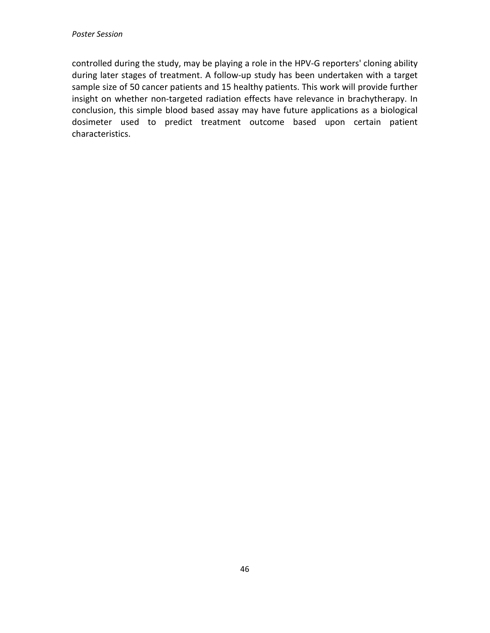controlled during the study, may be playing a role in the HPV-G reporters' cloning ability during later stages of treatment. A follow-up study has been undertaken with a target sample size of 50 cancer patients and 15 healthy patients. This work will provide further insight on whether non-targeted radiation effects have relevance in brachytherapy. In conclusion, this simple blood based assay may have future applications as a biological dosimeter used to predict treatment outcome based upon certain patient characteristics.